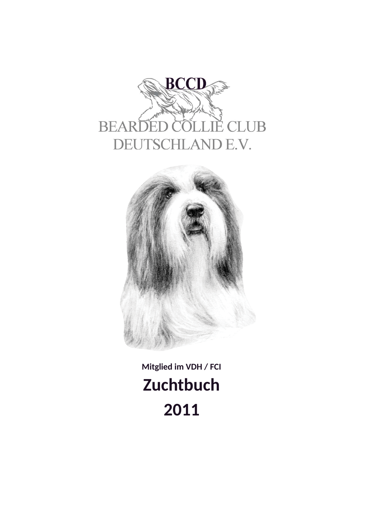



Mitglied im VDH / FCI **Zuchtbuch** 2011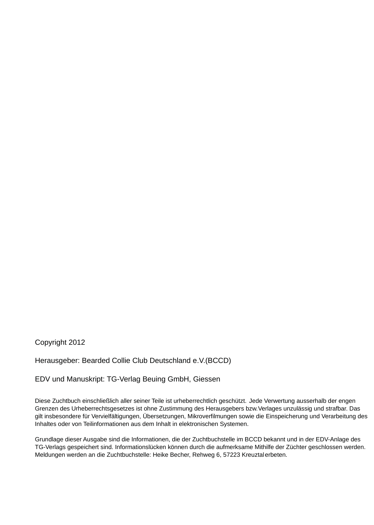Copyright 2012

Herausgeber: Bearded Collie Club Deutschland e.V.(BCCD)

EDV und Manuskript: TG-Verlag Beuing GmbH, Giessen

Diese Zuchtbuch einschließlich aller seiner Teile ist urheberrechtlich geschützt. Jede Verwertung ausserhalb der engen Grenzen des Urheberrechtsgesetzes ist ohne Zustimmung des Herausgebers bzw. Verlages unzulässig und strafbar. Das gilt insbesondere für Vervielfältigungen, Übersetzungen, Mikroverfilmungen sowie die Einspeicherung und Verarbeitung des Inhaltes oder von Teilinformationen aus dem Inhalt in elektronischen Systemen.

Grundlage dieser Ausgabe sind die Informationen, die der Zuchtbuchstelle im BCCD bekannt und in der EDV-Anlage des TG-Verlags gespeichert sind. Informationslücken können durch die aufmerksame Mithilfe der Züchter geschlossen werden. Meldungen werden an die Zuchtbuchstelle: Heike Becher, Rehweg 6, 57223 Kreuztalerbeten.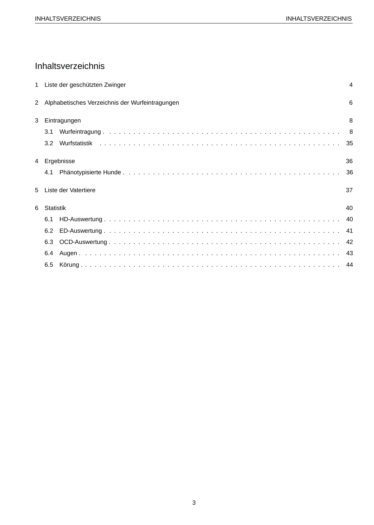# Inhaltsverzeichnis

|               |                  | 1 Liste der geschützten Zwinger                 | $\overline{4}$ |
|---------------|------------------|-------------------------------------------------|----------------|
| $\mathcal{P}$ |                  | Alphabetisches Verzeichnis der Wurfeintragungen | 6              |
| 3             |                  | Eintragungen                                    | 8              |
|               | 3.1              |                                                 |                |
|               | 3.2 <sub>2</sub> |                                                 |                |
| 4             |                  | Ergebnisse                                      | 36             |
|               | 4.1              |                                                 | 36             |
| 5             |                  | Liste der Vatertiere                            | 37             |
| 6             | Statistik        |                                                 | 40             |
|               | 6.1              |                                                 |                |
|               | 6.2              |                                                 |                |
|               | 6.3              |                                                 |                |
|               | 6.4              |                                                 |                |
|               | 6.5              |                                                 |                |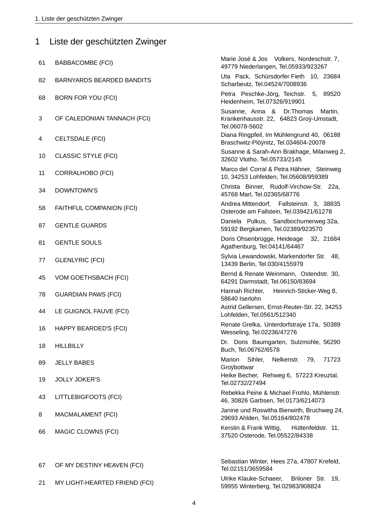| 1  | Liste der geschützten Zwinger    |                                                                                                       |
|----|----------------------------------|-------------------------------------------------------------------------------------------------------|
| 61 | <b>BABBACOMBE (FCI)</b>          | Marie José & Jos Volkers, Nordeschstr. 7,<br>49779 Niederlangen, Tel.05933/923267                     |
| 82 | <b>BARNYARDS BEARDED BANDITS</b> | Uta Pack, Schürsdorfer Fieth 10, 23684<br>Scharbeutz, Tel.04524/7008936                               |
| 68 | <b>BORN FOR YOU (FCI)</b>        | Petra Peschke-Jörg, Teichstr.<br>5, 89520<br>Heidenheim, Tel.07326/919901                             |
| 3  | OF CALEDONIAN TANNACH (FCI)      | Susanne, Anna &<br>Dr. Thomas<br>Martin,<br>Krankenhausstr. 22, 64823 Groÿ-Umstadt,<br>Tel.06078-5602 |
| 4  | CELTSDALE (FCI)                  | Diana Ringpfeil, Im Mühlengrund 40, 06188<br>Braschwitz-Plöÿnitz, Tel.034604-20078                    |
| 10 | <b>CLASSIC STYLE (FCI)</b>       | Susanne & Sarah-Ann Brakhage, Milanweg 2,<br>32602 Vlotho, Tel.05733/2145                             |
| 11 | <b>CORRALHOBO (FCI)</b>          | Marco del Corral & Petra Hähner, Steinweg<br>10, 34253 Lohfelden, Tel.05608/959389                    |
| 34 | DOWNTOWN'S                       | Christa Binner, Rudolf-Virchow-Str. 22a,<br>45768 Marl, Tel.02365/68776                               |
| 58 | FAITHFUL COMPANION (FCI)         | Andrea Mittendorf, Fallsteinstr. 3, 38835<br>Osterode am Fallstein, Tel.039421/61278                  |
| 87 | <b>GENTLE GUARDS</b>             | Daniela Pulkus, Sandbochumerweg 32a,<br>59192 Bergkamen, Tel.02389/923570                             |
| 81 | <b>GENTLE SOULS</b>              | Doris Ohsenbrügge, Heideage<br>32, 21684<br>Agathenburg, Tel.04141/64467                              |
| 77 | <b>GLENLYRIC (FCI)</b>           | Sylvia Lewandowski, Markendorfer Str. 48,<br>13439 Berlin, Tel.030/4155979                            |
| 45 | VOM GOETHSBACH (FCI)             | Bernd & Renate Weinmann, Ostendstr. 30,<br>64291 Darmstadt, Tel.06150/83694                           |
| 78 | <b>GUARDIAN PAWS (FCI)</b>       | Heinrich-Sticker-Weg 8,<br>Hannah Richter,<br>58640 Iserlohn                                          |
| 44 | LE GUIGNOL FAUVE (FCI)           | Astrid Gellersen, Ernst-Reuter-Str. 22, 34253<br>Lohfelden, Tel.0561/512340                           |
| 16 | <b>HAPPY BEARDED'S (FCI)</b>     | Renate Grelka, Unterdorfstraÿe 17a, 50389<br>Wesseling, Tel.02236/47276                               |
| 18 | <b>HILLBILLY</b>                 | Dr. Doris Baumgarten, Sulzmühle, 56290<br>Buch, Tel.06762/6578                                        |
| 89 | <b>JELLY BABES</b>               | Sihler,<br>Marion<br>Nelkenstr.<br>79,<br>71723<br>Groÿbottwar                                        |
| 19 | <b>JOLLY JOKER'S</b>             | Heike Becher, Rehweg 6, 57223 Kreuztal,<br>Tel.02732/27494                                            |
| 43 | LITTLEBIGFOOTS (FCI)             | Rebekka Peine & Michael Frohlo, Mühlenstr.<br>46, 30826 Garbsen, Tel.0173/6214073                     |
| 8  | MACMALAMENT (FCI)                | Janine und Roswitha Bierwirth, Bruchweg 24,<br>29693 Ahlden, Tel.05164/802478                         |
| 66 | MAGIC CLOWNS (FCI)               | Hüttenfeldstr. 11,<br>Kerstin & Frank Wittig,<br>37520 Osterode, Tel.05522/84338                      |
| 67 | OF MY DESTINY HEAVEN (FCI)       | Sebastian Winter, Hees 27a, 47807 Krefeld,<br>Tel.02151/3659584                                       |
| 21 | MY LIGHT-HEARTED FRIEND (FCI)    | Ulrike Klauke-Schaeer,<br>Briloner Str. 19,<br>59955 Winterberg, Tel.02983/908824                     |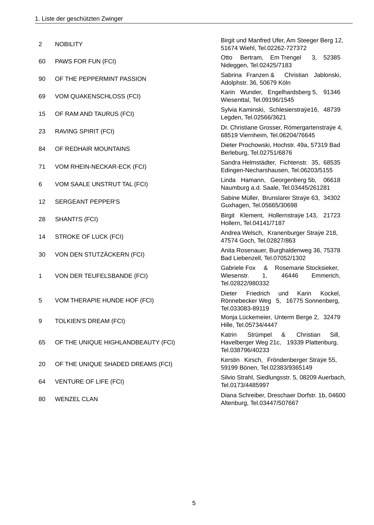| $\overline{c}$ | <b>NOBILITY</b>                    | Birgit und Manfred Ufer, Am Steeger Berg 12,<br>51674 Wiehl, Tel.02262-727372                                |
|----------------|------------------------------------|--------------------------------------------------------------------------------------------------------------|
| 60             | PAWS FOR FUN (FCI)                 | Bertram, Em Trengel<br>3, 52385<br>Otto<br>Nideggen, Tel.02425/7183                                          |
| 90             | OF THE PEPPERMINT PASSION          | Sabrina Franzen &<br>Christian Jablonski,<br>Adolphstr. 36, 50679 Köln                                       |
| 69             | VOM QUAKENSCHLOSS (FCI)            | Karin Wunder, Engelhardsberg 5, 91346<br>Wiesenttal, Tel.09196/1545                                          |
| 15             | OF RAM AND TAURUS (FCI)            | Sylvia Kaminski, Schlesierstraye16, 48739<br>Legden, Tel.02566/3621                                          |
| 23             | RAVING SPIRIT (FCI)                | Dr. Christiane Grosser, Römergartenstraÿe 4,<br>68519 Viernheim, Tel.06204/76645                             |
| 84             | OF REDHAIR MOUNTAINS               | Dieter Prochowski, Hochstr. 49a, 57319 Bad<br>Berleburg, Tel.02751/6876                                      |
| 71             | VOM RHEIN-NECKAR-ECK (FCI)         | Sandra Helmstädter, Fichtenstr. 35, 68535<br>Edingen-Necharshausen, Tel.06203/5155                           |
| 6              | VOM SAALE UNSTRUT TAL (FCI)        | Linda Hamann, Georgenberg 5b,<br>06618<br>Naumburg a.d. Saale, Tel.03445/261281                              |
| 12             | <b>SERGEANT PEPPER'S</b>           | Sabine Müller, Brunslarer Straÿe 63, 34302<br>Guxhagen, Tel.05665/30698                                      |
| 28             | SHANTI'S (FCI)                     | Birgit Klement, Hollernstraÿe 143, 21723<br>Hollern, Tel.04141/7187                                          |
| 14             | STROKE OF LUCK (FCI)               | Andrea Welsch, Kranenburger Straye 218,<br>47574 Goch, Tel.02827/863                                         |
| 30             | VON DEN STUTZÄCKERN (FCI)          | Anita Rosenauer, Burghaldenweg 36, 75378<br>Bad Liebenzell, Tel.07052/1302                                   |
| 1              | VON DER TEUFELSBANDE (FCI)         | &<br>Gabriele Fox<br>Rosemarie Stocksieker,<br>Wiesenstr.<br>46446<br>Emmerich,<br>1.<br>Tel.02822/980332    |
| 5              | VOM THERAPIE HUNDE HOF (FCI)       | Friedrich<br>Dieter<br>und<br>Karin<br>Kockel,<br>Rönnebecker Weg 5, 16775 Sonnenberg,<br>Tel.033083-89119   |
| 9              | <b>TOLKIEN'S DREAM (FCI)</b>       | Monja Lückemeier, Unterm Berge 2, 32479<br>Hille, Tel.05734/4447                                             |
| 65             | OF THE UNIQUE HIGHLANDBEAUTY (FCI) | Sill,<br>Katrin<br>Strümpel<br>&<br>Christian<br>Havelberger Weg 21c, 19339 Plattenburg,<br>Tel.038796/40233 |
| 20             | OF THE UNIQUE SHADED DREAMS (FCI)  | Kerstin Kirsch, Fröndenberger Straye 55,<br>59199 Bönen, Tel.02383/9365149                                   |
| 64             | <b>VENTURE OF LIFE (FCI)</b>       | Silvio Strahl, Siedlungsstr. 5, 08209 Auerbach,<br>Tel.0173/4485997                                          |
| 80             | <b>WENZEL CLAN</b>                 | Diana Schreiber, Dreschaer Dorfstr. 1b, 04600<br>Altenburg, Tel.03447/507667                                 |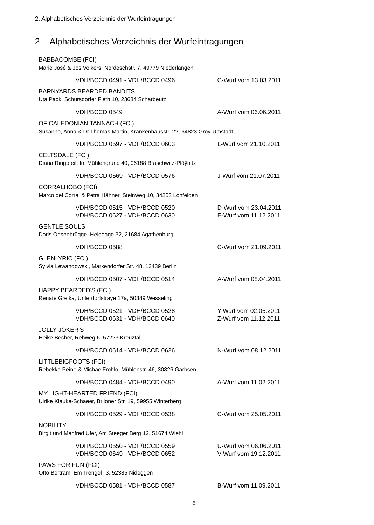### Alphabetisches Verzeichnis der Wurfeintragungen  $\overline{2}$

| <b>BABBACOMBE (FCI)</b> | Marie José & Jos Volkers, Nordeschstr. 7, 49779 Niederlangen                                             |                                                |
|-------------------------|----------------------------------------------------------------------------------------------------------|------------------------------------------------|
|                         | VDH/BCCD 0491 - VDH/BCCD 0496                                                                            | C-Wurf vom 13.03.2011                          |
|                         | <b>BARNYARDS BEARDED BANDITS</b><br>Uta Pack, Schürsdorfer Fieth 10, 23684 Scharbeutz                    |                                                |
|                         | VDH/BCCD 0549                                                                                            | A-Wurf vom 06.06.2011                          |
|                         | OF CALEDONIAN TANNACH (FCI)<br>Susanne, Anna & Dr. Thomas Martin, Krankenhausstr. 22, 64823 Groÿ-Umstadt |                                                |
|                         | VDH/BCCD 0597 - VDH/BCCD 0603                                                                            | L-Wurf vom 21.10.2011                          |
| CELTSDALE (FCI)         | Diana Ringpfeil, Im Mühlengrund 40, 06188 Braschwitz-Plöÿnitz                                            |                                                |
|                         | VDH/BCCD 0569 - VDH/BCCD 0576                                                                            | J-Wurf vom 21.07.2011                          |
| <b>CORRALHOBO (FCI)</b> | Marco del Corral & Petra Hähner, Steinweg 10, 34253 Lohfelden                                            |                                                |
|                         | VDH/BCCD 0515 - VDH/BCCD 0520<br>VDH/BCCD 0627 - VDH/BCCD 0630                                           | D-Wurf vom 23.04.2011<br>E-Wurf vom 11.12.2011 |
| <b>GENTLE SOULS</b>     | Doris Ohsenbrügge, Heideage 32, 21684 Agathenburg                                                        |                                                |
|                         | VDH/BCCD 0588                                                                                            | C-Wurf vom 21.09.2011                          |
| <b>GLENLYRIC (FCI)</b>  | Sylvia Lewandowski, Markendorfer Str. 48, 13439 Berlin                                                   |                                                |
|                         | VDH/BCCD 0507 - VDH/BCCD 0514                                                                            | A-Wurf vom 08.04.2011                          |
|                         | HAPPY BEARDED'S (FCI)<br>Renate Grelka, Unterdorfstraÿe 17a, 50389 Wesseling                             |                                                |
|                         | VDH/BCCD 0521 - VDH/BCCD 0528<br>VDH/BCCD 0631 - VDH/BCCD 0640                                           | Y-Wurf vom 02.05.2011<br>Z-Wurf vom 11.12.2011 |
| <b>JOLLY JOKER'S</b>    | Heike Becher, Rehweg 6, 57223 Kreuztal                                                                   |                                                |
|                         | VDH/BCCD 0614 - VDH/BCCD 0626                                                                            | N-Wurf vom 08.12.2011                          |
| LITTLEBIGFOOTS (FCI)    | Rebekka Peine & MichaelFrohlo, Mühlenstr. 46, 30826 Garbsen                                              |                                                |
|                         | VDH/BCCD 0484 - VDH/BCCD 0490                                                                            | A-Wurf vom 11.02.2011                          |
|                         | MY LIGHT-HEARTED FRIEND (FCI)<br>Ulrike Klauke-Schaeer, Briloner Str. 19, 59955 Winterberg               |                                                |
|                         | VDH/BCCD 0529 - VDH/BCCD 0538                                                                            | C-Wurf vom 25.05.2011                          |
| <b>NOBILITY</b>         | Birgit und Manfred Ufer, Am Steeger Berg 12, 51674 Wiehl                                                 |                                                |
|                         | VDH/BCCD 0550 - VDH/BCCD 0559<br>VDH/BCCD 0649 - VDH/BCCD 0652                                           | U-Wurf vom 06.06.2011<br>V-Wurf vom 19.12.2011 |
| PAWS FOR FUN (FCI)      | Otto Bertram, Em Trengel 3, 52385 Nideggen                                                               |                                                |
|                         | VDH/BCCD 0581 - VDH/BCCD 0587                                                                            | B-Wurf vom 11.09.2011                          |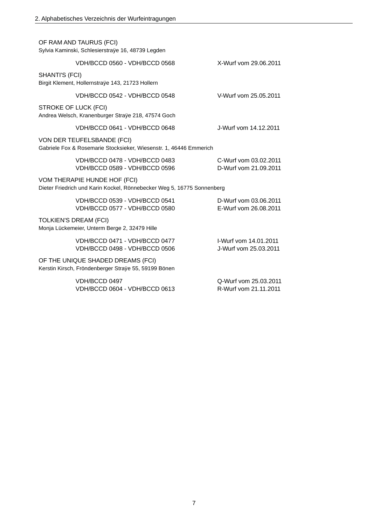| OF RAM AND TAURUS (FCI)<br>Sylvia Kaminski, Schlesierstraÿe 16, 48739 Legden                           |                                                |  |  |
|--------------------------------------------------------------------------------------------------------|------------------------------------------------|--|--|
| VDH/BCCD 0560 - VDH/BCCD 0568                                                                          | X-Wurf vom 29.06.2011                          |  |  |
| SHANTI'S (FCI)<br>Birgit Klement, Hollernstraÿe 143, 21723 Hollern                                     |                                                |  |  |
| VDH/BCCD 0542 - VDH/BCCD 0548                                                                          | V-Wurf vom 25.05.2011                          |  |  |
| STROKE OF LUCK (FCI)<br>Andrea Welsch, Kranenburger Straÿe 218, 47574 Goch                             |                                                |  |  |
| VDH/BCCD 0641 - VDH/BCCD 0648                                                                          | J-Wurf vom 14.12.2011                          |  |  |
| VON DER TEUFELSBANDE (FCI)<br>Gabriele Fox & Rosemarie Stocksieker, Wiesenstr. 1, 46446 Emmerich       |                                                |  |  |
| VDH/BCCD 0478 - VDH/BCCD 0483<br>VDH/BCCD 0589 - VDH/BCCD 0596                                         | C-Wurf vom 03.02.2011<br>D-Wurf vom 21.09.2011 |  |  |
| VOM THERAPIE HUNDE HOF (FCI)<br>Dieter Friedrich und Karin Kockel, Rönnebecker Weg 5, 16775 Sonnenberg |                                                |  |  |
| VDH/BCCD 0539 - VDH/BCCD 0541<br>VDH/BCCD 0577 - VDH/BCCD 0580                                         | D-Wurf vom 03.06.2011<br>E-Wurf vom 26.08.2011 |  |  |
| TOLKIEN'S DREAM (FCI)<br>Monja Lückemeier, Unterm Berge 2, 32479 Hille                                 |                                                |  |  |
| VDH/BCCD 0471 - VDH/BCCD 0477<br>VDH/BCCD 0498 - VDH/BCCD 0506                                         | I-Wurf vom 14.01.2011<br>J-Wurf vom 25.03.2011 |  |  |
| OF THE UNIQUE SHADED DREAMS (FCI)<br>Kerstin Kirsch, Fröndenberger Straÿe 55, 59199 Bönen              |                                                |  |  |
| VDH/BCCD 0497<br>VDH/BCCD 0604 - VDH/BCCD 0613                                                         | Q-Wurf vom 25.03.2011<br>R-Wurf vom 21.11.2011 |  |  |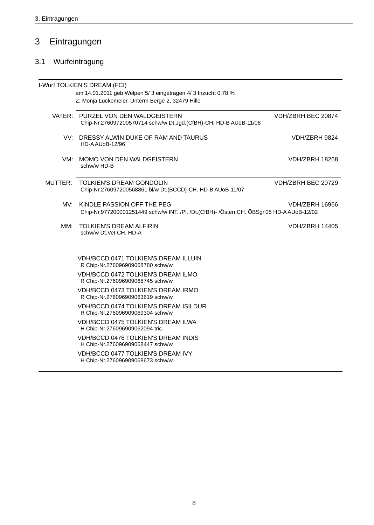### $\overline{3}$ Eintragungen

# 3.1 Wurfeintragung

|         | I-Wurf TOLKIEN'S DREAM (FCI)<br>am 14.01.2011 geb. Welpen 5/ 3 eingetragen 4/ 3 Inzucht 0,78 %<br>Z: Monja Lückemeier, Unterm Berge 2, 32479 Hille |                       |
|---------|----------------------------------------------------------------------------------------------------------------------------------------------------|-----------------------|
|         | VATER: PURZEL VON DEN WALDGEISTERN<br>Chip-Nr.276097200570714 schw/w Dt.Jgd.(CfBH)-CH. HD-B AUoB-11/08                                             | VDH/ZBRH BEC 20874    |
|         | VV: DRESSY ALWIN DUKE OF RAM AND TAURUS<br>HD-AAUoB-12/96                                                                                          | VDH/ZBRH 9824         |
| VM:     | MOMO VON DEN WALDGEISTERN<br>schw/w HD-B                                                                                                           | VDH/ZBRH 18268        |
| MUTTER: | TOLKIEN'S DREAM GONDOLIN<br>Chip-Nr.276097200568861 bl/w Dt.(BCCD)-CH. HD-B AUoB-11/07                                                             | VDH/ZBRH BEC 20729    |
|         | MV: KINDLE PASSION OFF THE PEG<br>Chip-Nr.977200001251449 schw/w INT. /Pl. /Dt.(CfBH)- /Österr.CH. ÖBSgr'05 HD-A AUoB-12/02                        | VDH/ZBRH 16966        |
| MM:     | <b>TOLKIEN'S DREAM ALFIRIN</b><br>schw/w Dt.Vet.CH. HD-A                                                                                           | <b>VDH/ZBRH 14405</b> |
|         | VDH/BCCD 0471 TOLKIEN'S DREAM ILLUIN<br>R Chip-Nr.276096909068780 schw/w                                                                           |                       |
|         | <b>VDH/BCCD 0472 TOLKIEN'S DREAM ILMO</b><br>R Chip-Nr.276096909068745 schw/w                                                                      |                       |
|         | VDH/BCCD 0473 TOLKIEN'S DREAM IRMO<br>R Chip-Nr.276096909063619 schw/w                                                                             |                       |
|         | VDH/BCCD 0474 TOLKIEN'S DREAM ISILDUR<br>R Chip-Nr.276096909069304 schw/w                                                                          |                       |
|         | VDH/BCCD 0475 TOLKIEN'S DREAM ILWA<br>H Chip-Nr.276096909062094 tric.                                                                              |                       |
|         | <b>VDH/BCCD 0476 TOLKIEN'S DREAM INDIS</b><br>H Chip-Nr.276096909068447 schw/w                                                                     |                       |
|         | <b>VDH/BCCD 0477 TOLKIEN'S DREAM IVY</b><br>H Chip-Nr.276096909068673 schw/w                                                                       |                       |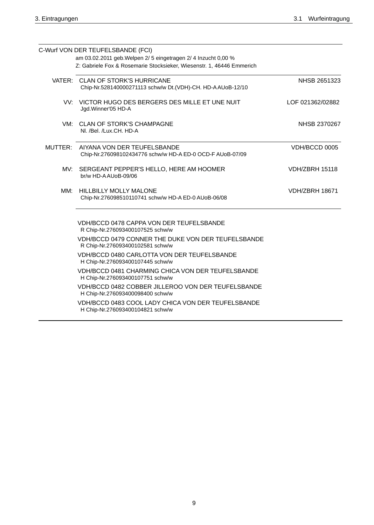|     | C-Wurf VON DER TEUFELSBANDE (FCI)<br>am 03.02.2011 geb. Welpen 2/ 5 eingetragen 2/ 4 Inzucht 0,00 %<br>Z: Gabriele Fox & Rosemarie Stocksieker, Wiesenstr. 1, 46446 Emmerich |                       |
|-----|------------------------------------------------------------------------------------------------------------------------------------------------------------------------------|-----------------------|
|     | VATER: CLAN OF STORK'S HURRICANE<br>Chip-Nr.528140000271113 schw/w Dt.(VDH)-CH. HD-AAUoB-12/10                                                                               | NHSB 2651323          |
|     | VV: VICTOR HUGO DES BERGERS DES MILLE ET UNE NUIT<br>Jgd. Winner'05 HD-A                                                                                                     | LOF 021362/02882      |
|     | VM: CLAN OF STORK'S CHAMPAGNE<br>Nl. /Bel. /Lux.CH. HD-A                                                                                                                     | NHSB 2370267          |
|     | MUTTER: AIYANA VON DER TEUFELSBANDE<br>Chip-Nr.276098102434776 schw/w HD-A ED-0 OCD-F AUoB-07/09                                                                             | VDH/BCCD 0005         |
| MV: | SERGEANT PEPPER'S HELLO, HERE AM HOOMER<br>br/w HD-AAUoB-09/06                                                                                                               | <b>VDH/ZBRH 15118</b> |
|     | MM: HILLBILLY MOLLY MALONE<br>Chip-Nr.276098510110741 schw/w HD-A ED-0 AUoB-06/08                                                                                            | <b>VDH/ZBRH 18671</b> |
|     | VDH/BCCD 0478 CAPPA VON DER TEUFELSBANDE<br>R Chip-Nr.276093400107525 schw/w                                                                                                 |                       |
|     | VDH/BCCD 0479 CONNER THE DUKE VON DER TEUFELSBANDE<br>R Chip-Nr.276093400102581 schw/w                                                                                       |                       |
|     | VDH/BCCD 0480 CARLOTTA VON DER TEUFELSBANDE<br>H Chip-Nr.276093400107445 schw/w                                                                                              |                       |
|     | VDH/BCCD 0481 CHARMING CHICA VON DER TEUFELSBANDE<br>H Chip-Nr.276093400107751 schw/w                                                                                        |                       |
|     | VDH/BCCD 0482 COBBER JILLEROO VON DER TEUFELSBANDE<br>H Chip-Nr.276093400098400 schw/w                                                                                       |                       |
|     | VDH/BCCD 0483 COOL LADY CHICA VON DER TEUFELSBANDE<br>H Chip-Nr.276093400104821 schw/w                                                                                       |                       |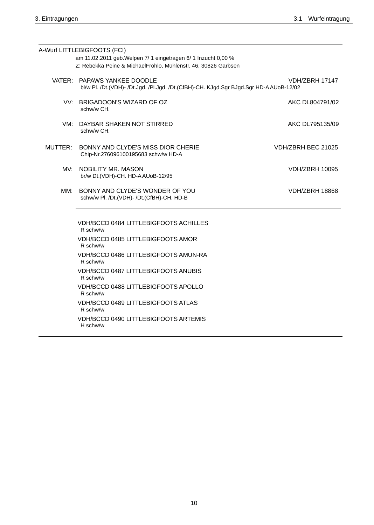|         | A-Wurf LITTLEBIGFOOTS (FCI)<br>am 11.02.2011 geb. Welpen 7/ 1 eingetragen 6/ 1 Inzucht 0,00 %<br>Z: Rebekka Peine & MichaelFrohlo, Mühlenstr. 46, 30826 Garbsen |                       |  |
|---------|-----------------------------------------------------------------------------------------------------------------------------------------------------------------|-----------------------|--|
|         |                                                                                                                                                                 |                       |  |
|         | VATER: PAPAWS YANKEE DOODLE<br>VDH/ZBRH 17147<br>bl/w Pl. /Dt.(VDH)- /Dt.Jgd. /Pl.Jgd. /Dt.(CfBH)-CH. KJgd.Sgr BJgd.Sgr HD-AAUoB-12/02                          |                       |  |
| VV:     | BRIGADOON'S WIZARD OF OZ<br>schw/w CH.                                                                                                                          | AKC DL804791/02       |  |
| VM:     | DAYBAR SHAKEN NOT STIRRED<br>schw/w CH.                                                                                                                         | AKC DL795135/09       |  |
| MUTTER: | BONNY AND CLYDE'S MISS DIOR CHERIE<br>Chip-Nr.276096100195683 schw/w HD-A                                                                                       | VDH/ZBRH BEC 21025    |  |
| MV:     | NOBILITY MR. MASON<br>br/w Dt.(VDH)-CH. HD-AAUoB-12/95                                                                                                          | <b>VDH/ZBRH 10095</b> |  |
| MM:     | BONNY AND CLYDE'S WONDER OF YOU<br>schw/w Pl. /Dt.(VDH)- /Dt.(CfBH)-CH. HD-B                                                                                    | <b>VDH/ZBRH 18868</b> |  |
|         | <b>VDH/BCCD 0484 LITTLEBIGFOOTS ACHILLES</b><br>R schw/w                                                                                                        |                       |  |
|         | <b>VDH/BCCD 0485 LITTLEBIGFOOTS AMOR</b><br>R schw/w                                                                                                            |                       |  |
|         | VDH/BCCD 0486 LITTLEBIGFOOTS AMUN-RA<br>R schw/w                                                                                                                |                       |  |
|         | <b>VDH/BCCD 0487 LITTLEBIGFOOTS ANUBIS</b><br>R schw/w                                                                                                          |                       |  |
|         | VDH/BCCD 0488 LITTLEBIGFOOTS APOLLO<br>R schw/w                                                                                                                 |                       |  |
|         | VDH/BCCD 0489 LITTLEBIGFOOTS ATLAS<br>R schw/w                                                                                                                  |                       |  |
|         | VDH/BCCD 0490 LITTLEBIGFOOTS ARTEMIS<br>H schw/w                                                                                                                |                       |  |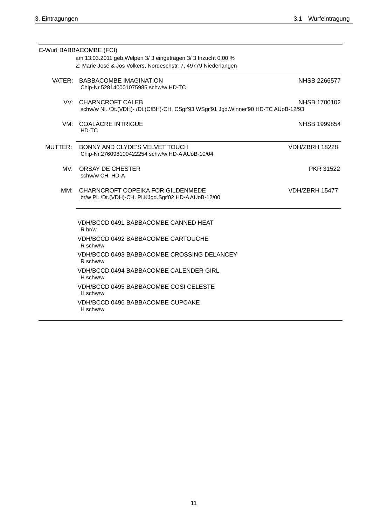|     | C-Wurf BABBACOMBE (FCI)<br>am 13.03.2011 geb. Welpen 3/ 3 eingetragen 3/ 3 Inzucht 0,00 %<br>Z: Marie José & Jos Volkers, Nordeschstr. 7, 49779 Niederlangen |                       |
|-----|--------------------------------------------------------------------------------------------------------------------------------------------------------------|-----------------------|
|     | VATER: BABBACOMBE IMAGINATION<br>Chip-Nr.528140001075985 schw/w HD-TC                                                                                        | NHSB 2266577          |
|     | VV: CHARNCROFT CALEB<br>schw/w Nl. /Dt.(VDH)- /Dt.(CfBH)-CH. CSgr'93 WSgr'91 Jgd.Winner'90 HD-TC AUoB-12/93                                                  | NHSB 1700102          |
|     | VM: COALACRE INTRIGUE<br>HD-TC                                                                                                                               | NHSB 1999854          |
|     | MUTTER: BONNY AND CLYDE'S VELVET TOUCH<br>Chip-Nr.276098100422254 schw/w HD-A AUoB-10/04                                                                     | <b>VDH/ZBRH 18228</b> |
| MV: | ORSAY DE CHESTER<br>schw/w CH. HD-A                                                                                                                          | <b>PKR 31522</b>      |
| MM: | CHARNCROFT COPEIKA FOR GILDENMEDE<br>br/w Pl. /Dt.(VDH)-CH. Pl.KJgd.Sgr'02 HD-AAUoB-12/00                                                                    | <b>VDH/ZBRH 15477</b> |
|     | VDH/BCCD 0491 BABBACOMBE CANNED HEAT<br>R <sub>b</sub> r/w                                                                                                   |                       |
|     | VDH/BCCD 0492 BABBACOMBE CARTOUCHE<br>R schw/w                                                                                                               |                       |
|     | VDH/BCCD 0493 BABBACOMBE CROSSING DELANCEY<br>R schw/w                                                                                                       |                       |
|     | <b>VDH/BCCD 0494 BABBACOMBE CALENDER GIRL</b><br>H schw/w                                                                                                    |                       |
|     | VDH/BCCD 0495 BABBACOMBE COSI CELESTE<br>H schw/w                                                                                                            |                       |
|     | VDH/BCCD 0496 BABBACOMBE CUPCAKE<br>H schw/w                                                                                                                 |                       |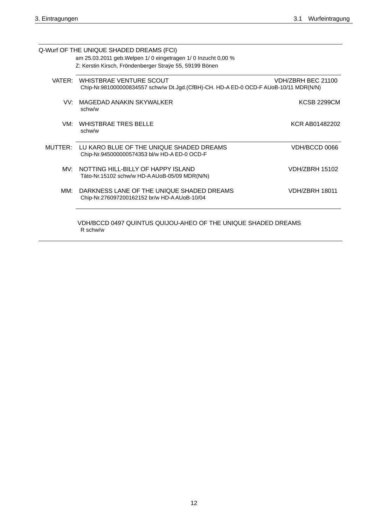|                 | Q-Wurf OF THE UNIQUE SHADED DREAMS (FCI)<br>am 25.03.2011 geb. Welpen 1/0 eingetragen 1/0 Inzucht 0,00 %<br>Z: Kerstin Kirsch, Fröndenberger Straÿe 55, 59199 Bönen |                       |
|-----------------|---------------------------------------------------------------------------------------------------------------------------------------------------------------------|-----------------------|
|                 | VATER: WHISTBRAE VENTURE SCOUT<br>Chip-Nr.981000000834557 schw/w Dt.Jgd.(CfBH)-CH. HD-A ED-0 OCD-F AUoB-10/11 MDR(N/N)                                              | VDH/ZBRH BEC 21100    |
| VV.             | MAGEDAD ANAKIN SKYWALKER<br>schw/w                                                                                                                                  | <b>KCSB 2299CM</b>    |
| VM:             | WHISTBRAF TRES BELLE<br>schw/w                                                                                                                                      | KCR AB01482202        |
| MUTTER:         | LU KARO BLUE OF THE UNIQUE SHADED DREAMS<br>Chip-Nr.945000000574353 bl/w HD-A ED-0 OCD-F                                                                            | VDH/BCCD 0066         |
| MV <sup>.</sup> | NOTTING HILL-BILLY OF HAPPY ISLAND<br>Täto-Nr.15102 schw/w HD-AAUoB-05/09 MDR(N/N)                                                                                  | <b>VDH/ZBRH 15102</b> |
| MM:             | DARKNESS LANE OF THE UNIQUE SHADED DREAMS<br>Chip-Nr.276097200162152 br/w HD-A AUoB-10/04                                                                           | <b>VDH/ZBRH 18011</b> |
|                 | VDH/BCCD 0497 QUINTUS QUIJOU-AHEO OF THE UNIQUE SHADED DREAMS<br>R schw/w                                                                                           |                       |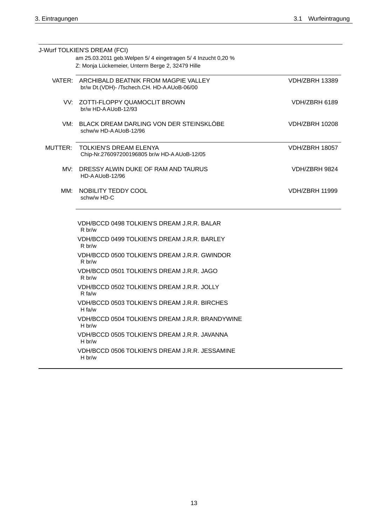H br/w

H br/w

|     | J-Wurf TOLKIEN'S DREAM (FCI)<br>am 25.03.2011 geb. Welpen 5/ 4 eingetragen 5/ 4 Inzucht 0,20 %<br>Z: Monja Lückemeier, Unterm Berge 2, 32479 Hille |                       |
|-----|----------------------------------------------------------------------------------------------------------------------------------------------------|-----------------------|
|     | VATER: ARCHIBALD BEATNIK FROM MAGPIE VALLEY<br>br/w Dt.(VDH)- /Tschech.CH. HD-AAUoB-06/00                                                          | VDH/ZBRH 13389        |
|     | VV: ZOTTI-FLOPPY QUAMOCLIT BROWN<br>br/w HD-AAUoB-12/93                                                                                            | VDH/ZBRH 6189         |
|     | VM: BLACK DREAM DARLING VON DER STEINSKLÖBE<br>schw/w HD-A AUoB-12/96                                                                              | <b>VDH/ZBRH 10208</b> |
|     | MUTTER: TOLKIEN'S DREAM ELENYA<br>Chip-Nr.276097200196805 br/w HD-A AUoB-12/05                                                                     | <b>VDH/ZBRH 18057</b> |
| MV: | DRESSY ALWIN DUKE OF RAM AND TAURUS<br>HD-AAUoB-12/96                                                                                              | VDH/ZBRH 9824         |
| MM: | NOBILITY TEDDY COOL<br>schw/w HD-C                                                                                                                 | <b>VDH/ZBRH 11999</b> |
|     | VDH/BCCD 0498 TOLKIEN'S DREAM J.R.R. BALAR<br>R <sub>b</sub> r/w                                                                                   |                       |
|     | VDH/BCCD 0499 TOLKIEN'S DREAM J.R.R. BARLEY<br>R <sub>b</sub> r/w                                                                                  |                       |
|     | VDH/BCCD 0500 TOLKIEN'S DREAM J.R.R. GWINDOR<br>R br/w                                                                                             |                       |
|     | VDH/BCCD 0501 TOLKIEN'S DREAM J.R.R. JAGO<br>R br/w                                                                                                |                       |
|     | VDH/BCCD 0502 TOLKIEN'S DREAM J.R.R. JOLLY<br>$R$ fa/w                                                                                             |                       |
|     | VDH/BCCD 0503 TOLKIEN'S DREAM J.R.R. BIRCHES<br>H fa/w                                                                                             |                       |
|     | VDH/BCCD 0504 TOLKIEN'S DREAM J.R.R. BRANDYWINE<br>H br/w                                                                                          |                       |
|     | VDH/BCCD 0505 TOLKIEN'S DREAM J.R.R. JAVANNA                                                                                                       |                       |

VDH/BCCD 0506 TOLKIEN'S DREAM J.R.R. JESSAMINE

13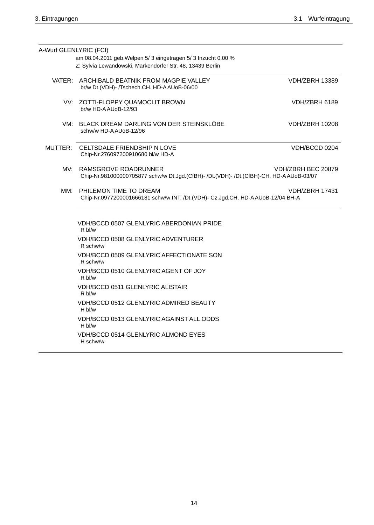| A-Wurf GLENLYRIC (FCI) |                                                                                                                             |                       |
|------------------------|-----------------------------------------------------------------------------------------------------------------------------|-----------------------|
|                        | am 08.04.2011 geb. Welpen 5/ 3 eingetragen 5/ 3 Inzucht 0,00 %<br>Z: Sylvia Lewandowski, Markendorfer Str. 48, 13439 Berlin |                       |
|                        | VATER: ARCHIBALD BEATNIK FROM MAGPIE VALLEY                                                                                 | <b>VDH/ZBRH 13389</b> |
|                        | br/w Dt.(VDH)- /Tschech.CH. HD-AAUoB-06/00                                                                                  |                       |
|                        | VV: ZOTTI-FLOPPY QUAMOCLIT BROWN<br>br/w HD-AAUoB-12/93                                                                     | VDH/ZBRH 6189         |
| VM:                    | BLACK DREAM DARLING VON DER STEINSKLÖBE<br>schw/w HD-A AUoB-12/96                                                           | <b>VDH/ZBRH 10208</b> |
|                        | MUTTER: CELTSDALE FRIENDSHIP N LOVE<br>Chip-Nr.276097200910680 bl/w HD-A                                                    | VDH/BCCD 0204         |
| MV:                    | RAMSGROVE ROADRUNNER<br>Chip-Nr.981000000705877 schw/w Dt.Jgd.(CfBH)- /Dt.(VDH)- /Dt.(CfBH)-CH. HD-AAUoB-03/07              | VDH/ZBRH BEC 20879    |
| MM:                    | PHILEMON TIME TO DREAM<br>Chip-Nr.0977200001666181 schw/w INT. /Dt.(VDH)- Cz.Jgd.CH. HD-AAUoB-12/04 BH-A                    | VDH/ZBRH 17431        |
|                        | VDH/BCCD 0507 GLENLYRIC ABERDONIAN PRIDE<br>R bl/w                                                                          |                       |
|                        | <b>VDH/BCCD 0508 GLENLYRIC ADVENTURER</b><br>R schw/w                                                                       |                       |
|                        | VDH/BCCD 0509 GLENLYRIC AFFECTIONATE SON<br>R schw/w                                                                        |                       |
|                        | VDH/BCCD 0510 GLENLYRIC AGENT OF JOY<br>R bl/w                                                                              |                       |
|                        | <b>VDH/BCCD 0511 GLENLYRIC ALISTAIR</b><br>R bl/w                                                                           |                       |
|                        | VDH/BCCD 0512 GLENLYRIC ADMIRED BEAUTY<br>H bl/w                                                                            |                       |
|                        | VDH/BCCD 0513 GLENLYRIC AGAINST ALL ODDS<br>$Hb$ bl/w                                                                       |                       |
|                        | VDH/BCCD 0514 GLENLYRIC ALMOND EYES<br>H schw/w                                                                             |                       |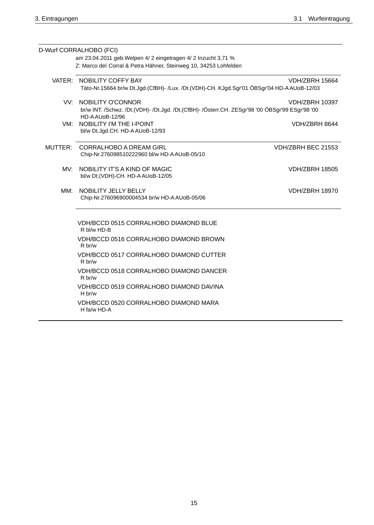|     | D-Wurf CORRALHOBO (FCI)<br>am 23.04.2011 geb. Welpen 4/ 2 eingetragen 4/ 2 Inzucht 3,71 %<br>Z: Marco del Corral & Petra Hähner, Steinweg 10, 34253 Lohfelden |                                                                                                                          |  |
|-----|---------------------------------------------------------------------------------------------------------------------------------------------------------------|--------------------------------------------------------------------------------------------------------------------------|--|
|     |                                                                                                                                                               |                                                                                                                          |  |
|     | VATER: NOBILITY COFFY BAY<br>Täto-Nr.15664 br/w Dt.Jgd.(CfBH)- /Lux. /Dt.(VDH)-CH. KJgd.Sgr'01 ÖBSgr'04 HD-AAUoB-12/03                                        | <b>VDH/ZBRH 15664</b>                                                                                                    |  |
|     | VV: NOBILITY O'CONNOR<br>HD-AAUoB-12/96                                                                                                                       | <b>VDH/ZBRH 10397</b><br>br/w INT. /Schwz. /Dt.(VDH)- /Dt.Jgd. /Dt.(CfBH)- /Österr.CH. ZESgr'98 '00 ÖBSgr'99 ESgr'98 '00 |  |
| VM: | <b>NOBILITY I'M THE I-POINT</b><br>bl/w Dt.Jgd.CH. HD-AAUoB-12/93                                                                                             | VDH/ZBRH 8644                                                                                                            |  |
|     | MUTTER: CORRALHOBO A DREAM GIRL<br>Chip-Nr.276098510222960 bl/w HD-A AUoB-05/10                                                                               | VDH/ZBRH BEC 21553                                                                                                       |  |
| MV: | NOBILITY IT'S A KIND OF MAGIC<br>bl/w Dt.(VDH)-CH. HD-A AUoB-12/05                                                                                            | <b>VDH/ZBRH 18505</b>                                                                                                    |  |
| MM: | NOBILITY JELLY BELLY<br>Chip-Nr.276096900004534 br/w HD-A AUoB-05/06                                                                                          | <b>VDH/ZBRH 18970</b>                                                                                                    |  |
|     | <b>VDH/BCCD 0515 CORRALHOBO DIAMOND BLUE</b><br>R bl/w HD-B                                                                                                   |                                                                                                                          |  |
|     | VDH/BCCD 0516 CORRALHOBO DIAMOND BROWN<br>R br/w                                                                                                              |                                                                                                                          |  |
|     | <b>VDH/BCCD 0517 CORRALHOBO DIAMOND CUTTER</b><br>R <sub>b</sub> r/w                                                                                          |                                                                                                                          |  |
|     | VDH/BCCD 0518 CORRALHOBO DIAMOND DANCER<br>R br/w                                                                                                             |                                                                                                                          |  |
|     | VDH/BCCD 0519 CORRALHOBO DIAMOND DAVINA<br>H br/w                                                                                                             |                                                                                                                          |  |
|     | VDH/BCCD 0520 CORRALHOBO DIAMOND MARA<br>H fa/w HD-A                                                                                                          |                                                                                                                          |  |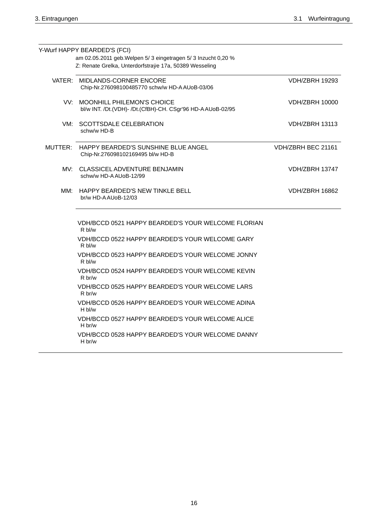|     | Y-Wurf HAPPY BEARDED'S (FCI)<br>am 02.05.2011 geb. Welpen 5/3 eingetragen 5/3 Inzucht 0,20 %    |                       |
|-----|-------------------------------------------------------------------------------------------------|-----------------------|
|     | Z: Renate Grelka, Unterdorfstraÿe 17a, 50389 Wesseling                                          |                       |
|     | VATER: MIDLANDS-CORNER ENCORE<br>Chip-Nr.276098100485770 schw/w HD-AAUoB-03/06                  | <b>VDH/ZBRH 19293</b> |
| VV: | <b>MOONHILL PHILEMON'S CHOICE</b><br>bl/w INT. /Dt.(VDH)- /Dt.(CfBH)-CH. CSgr'96 HD-AAUoB-02/95 | <b>VDH/ZBRH 10000</b> |
| VM: | <b>SCOTTSDALE CELEBRATION</b><br>schw/w HD-B                                                    | <b>VDH/ZBRH 13113</b> |
|     | MUTTER: HAPPY BEARDED'S SUNSHINE BLUE ANGEL<br>Chip-Nr.276098102169495 bl/w HD-B                | VDH/ZBRH BEC 21161    |
|     | MV: CLASSICEL ADVENTURE BENJAMIN<br>schw/w HD-A AUoB-12/99                                      | VDH/ZBRH 13747        |
| MM: | HAPPY BEARDED'S NEW TINKLE BELL<br>br/w HD-AAUoB-12/03                                          | VDH/ZBRH 16862        |
|     | VDH/BCCD 0521 HAPPY BEARDED'S YOUR WELCOME FLORIAN<br>R bl/w                                    |                       |
|     | VDH/BCCD 0522 HAPPY BEARDED'S YOUR WELCOME GARY<br>R bl/w                                       |                       |
|     | VDH/BCCD 0523 HAPPY BEARDED'S YOUR WELCOME JONNY<br>R bl/w                                      |                       |
|     | VDH/BCCD 0524 HAPPY BEARDED'S YOUR WELCOME KEVIN<br>R br/w                                      |                       |
|     | VDH/BCCD 0525 HAPPY BEARDED'S YOUR WELCOME LARS<br>R br/w                                       |                       |
|     | VDH/BCCD 0526 HAPPY BEARDED'S YOUR WELCOME ADINA<br>H bl/w                                      |                       |
|     | VDH/BCCD 0527 HAPPY BEARDED'S YOUR WELCOME ALICE<br>H br/w                                      |                       |
|     | VDH/BCCD 0528 HAPPY BEARDED'S YOUR WELCOME DANNY<br>H br/w                                      |                       |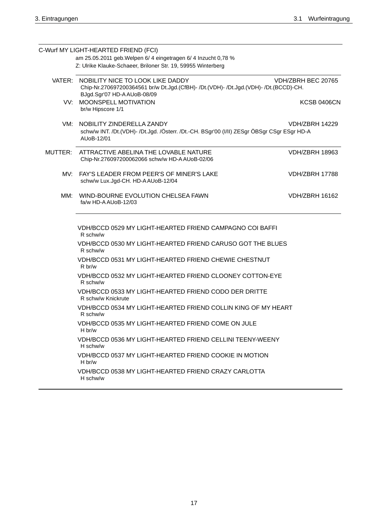|     | C-Wurf MY LIGHT-HEARTED FRIEND (FCI)                                                                                                                           |                       |
|-----|----------------------------------------------------------------------------------------------------------------------------------------------------------------|-----------------------|
|     | am 25.05.2011 geb. Welpen 6/ 4 eingetragen 6/ 4 Inzucht 0,78 %                                                                                                 |                       |
|     | Z: Ulrike Klauke-Schaeer, Briloner Str. 19, 59955 Winterberg                                                                                                   |                       |
|     | VATER: NOBILITY NICE TO LOOK LIKE DADDY<br>Chip-Nr.270697200364561 br/w Dt.Jgd.(CfBH)- /Dt.(VDH)- /Dt.Jgd.(VDH)- /Dt.(BCCD)-CH.<br>BJgd.Sgr'07 HD-A AUoB-08/09 | VDH/ZBRH BEC 20765    |
|     | VV: MOONSPELL MOTIVATION<br>br/w Hipscore 1/1                                                                                                                  | <b>KCSB 0406CN</b>    |
|     | VM: NOBILITY ZINDERELLA ZANDY<br>schw/w INT. /Dt.(VDH)- /Dt.Jgd. /Österr. /Dt.-CH. BSgr'00 (I/II) ZESgr ÖBSgr CSgr ESgr HD-A<br>AUoB-12/01                     | <b>VDH/ZBRH 14229</b> |
|     | MUTTER: ATTRACTIVE ABELINA THE LOVABLE NATURE<br>Chip-Nr.276097200062066 schw/w HD-A AUoB-02/06                                                                | <b>VDH/ZBRH 18963</b> |
| MV: | FAY'S LEADER FROM PEER'S OF MINER'S LAKE<br>schw/w Lux.Jgd-CH. HD-AAUoB-12/04                                                                                  | <b>VDH/ZBRH 17788</b> |
| MM: | WIND-BOURNE EVOLUTION CHELSEA FAWN<br>fa/w HD-A AUoB-12/03                                                                                                     | <b>VDH/ZBRH 16162</b> |
|     | VDH/BCCD 0529 MY LIGHT-HEARTED FRIEND CAMPAGNO COI BAFFI<br>R schw/w                                                                                           |                       |
|     | VDH/BCCD 0530 MY LIGHT-HEARTED FRIEND CARUSO GOT THE BLUES<br>R schw/w                                                                                         |                       |
|     | VDH/BCCD 0531 MY LIGHT-HEARTED FRIEND CHEWIE CHESTNUT<br>R br/w                                                                                                |                       |
|     | VDH/BCCD 0532 MY LIGHT-HEARTED FRIEND CLOONEY COTTON-EYE<br>R schw/w                                                                                           |                       |
|     | VDH/BCCD 0533 MY LIGHT-HEARTED FRIEND CODO DER DRITTE<br>R schw/w Knickrute                                                                                    |                       |
|     | VDH/BCCD 0534 MY LIGHT-HEARTED FRIEND COLLIN KING OF MY HEART<br>R schw/w                                                                                      |                       |
|     | VDH/BCCD 0535 MY LIGHT-HEARTED FRIEND COME ON JULE<br>H br/w                                                                                                   |                       |
|     | VDH/BCCD 0536 MY LIGHT-HEARTED FRIEND CELLINI TEENY-WEENY<br>H schw/w                                                                                          |                       |
|     | VDH/BCCD 0537 MY LIGHT-HEARTED FRIEND COOKIE IN MOTION<br>H br/w                                                                                               |                       |
|     | VDH/BCCD 0538 MY LIGHT-HEARTED FRIEND CRAZY CARLOTTA<br>H schw/w                                                                                               |                       |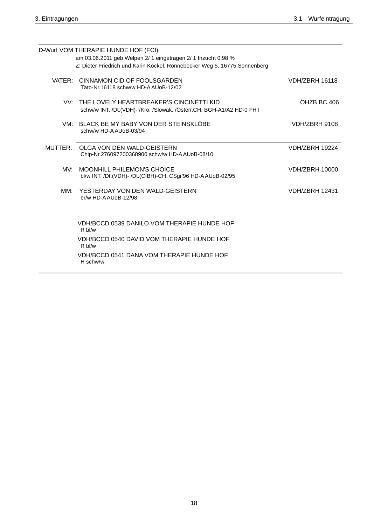|         | D-Wurf VOM THERAPIE HUNDE HOF (FCI)                                                                                                         |                       |
|---------|---------------------------------------------------------------------------------------------------------------------------------------------|-----------------------|
|         | am 03.06.2011 geb. Welpen 2/ 1 eingetragen 2/ 1 Inzucht 0,98 %<br>Z: Dieter Friedrich und Karin Kockel, Rönnebecker Weg 5, 16775 Sonnenberg |                       |
|         | VATER: CINNAMON CID OF FOOLSGARDEN<br>Täto-Nr.16118 schw/w HD-A AUoB-12/02                                                                  | <b>VDH/ZBRH 16118</b> |
|         | VV: THE LOVELY HEARTBREAKER'S CINCINETTI KID<br>schw/w INT. /Dt.(VDH)- /Kro. /Slowak. /Österr.CH. BGH-A1/A2 HD-0 FH I                       | ÖHZB BC 406           |
| VM:     | BLACK BE MY BABY VON DER STEINSKLÖBE<br>schw/w HD-A AUoB-03/94                                                                              | VDH/ZBRH 9108         |
| MUTTER: | OLGA VON DEN WALD-GEISTERN<br>Chip-Nr.276097200368900 schw/w HD-AAUoB-08/10                                                                 | <b>VDH/ZBRH 19224</b> |
| MV.     | MOONHILL PHILEMON'S CHOICE<br>bl/w INT. /Dt.(VDH)- /Dt.(CfBH)-CH. CSgr'96 HD-AAUoB-02/95                                                    | <b>VDH/ZBRH 10000</b> |
| MM:     | YESTERDAY VON DEN WALD-GEISTERN<br>br/w HD-AAUoB-12/98                                                                                      | <b>VDH/ZBRH 12431</b> |
|         | VDH/BCCD 0539 DANILO VOM THERAPIE HUNDE HOF<br>R bl/w<br>VDH/BCCD 0540 DAVID VOM THERAPIE HUNDE HOF                                         |                       |
|         | $Rb$ hl/w<br>VDH/BCCD 0541 DANA VOM THERAPIE HUNDE HOF<br>H schw/w                                                                          |                       |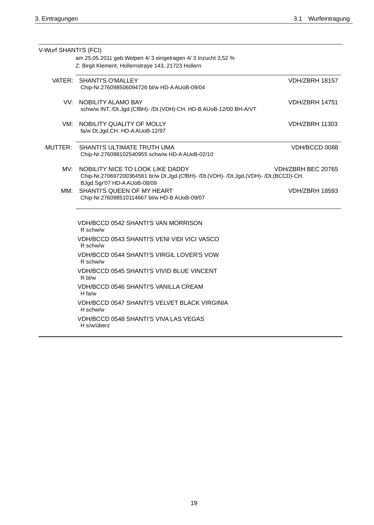| V-Wurf SHANTI'S (FCI) |                                                                                                                                                                              |  |
|-----------------------|------------------------------------------------------------------------------------------------------------------------------------------------------------------------------|--|
|                       | am 25.05.2011 geb. Welpen 4/ 3 eingetragen 4/ 3 Inzucht 3,52 %                                                                                                               |  |
|                       | Z: Birgit Klement, Hollernstraÿe 143, 21723 Hollern                                                                                                                          |  |
|                       | VATER: SHANTI'S O'MALLEY<br><b>VDH/ZBRH 18157</b><br>Chip-Nr.276098506094726 bl/w HD-A AUoB-09/04                                                                            |  |
|                       | VV: NOBILITY ALAMO BAY<br>VDH/ZBRH 14751<br>schw/w INT. /Dt.Jgd.(CfBH)- /Dt.(VDH)-CH. HD-B AUoB-12/00 BH-A/VT                                                                |  |
| VM:                   | NOBILITY QUALITY OF MOLLY<br><b>VDH/ZBRH 11303</b><br>fa/w Dt.Jgd.CH. HD-AAUoB-12/97                                                                                         |  |
|                       | MUTTER: SHANTI'S ULTIMATE TRUTH UMA<br>VDH/BCCD 0088<br>Chip-Nr.276098102540955 schw/w HD-AAUoB-02/10                                                                        |  |
| MV:                   | NOBILITY NICE TO LOOK LIKE DADDY<br>VDH/ZBRH BEC 20765<br>Chip-Nr.270697200364561 br/w Dt.Jgd.(CfBH)- /Dt.(VDH)- /Dt.Jgd.(VDH)- /Dt.(BCCD)-CH.<br>BJgd.Sgr'07 HD-AAUoB-08/09 |  |
| MM:                   | SHANTI'S QUEEN OF MY HEART<br><b>VDH/ZBRH 18593</b><br>Chip-Nr.276098510114667 bl/w HD-B AUoB-09/07                                                                          |  |
|                       | <b>VDH/BCCD 0542 SHANTI'S VAN MORRISON</b><br>R schw/w                                                                                                                       |  |
|                       | <b>VDH/BCCD 0543 SHANTI'S VENI VIDI VICI VASCO</b><br>R schw/w                                                                                                               |  |
|                       | <b>VDH/BCCD 0544 SHANTI'S VIRGIL LOVER'S VOW</b><br>R schw/w                                                                                                                 |  |
|                       | <b>VDH/BCCD 0545 SHANTI'S VIVID BLUE VINCENT</b><br>R bl/w                                                                                                                   |  |
|                       | <b>VDH/BCCD 0546 SHANTI'S VANILLA CREAM</b><br>H fa/w                                                                                                                        |  |
|                       | <b>VDH/BCCD 0547 SHANTI'S VELVET BLACK VIRGINIA</b><br>H schw/w                                                                                                              |  |
|                       | VDH/BCCD 0548 SHANTI'S VIVA LAS VEGAS<br>H s/w/überz                                                                                                                         |  |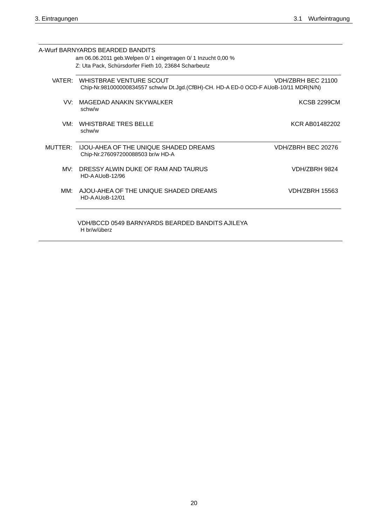|         | A-Wurf BARNYARDS BEARDED BANDITS                                                                                       |                       |
|---------|------------------------------------------------------------------------------------------------------------------------|-----------------------|
|         |                                                                                                                        |                       |
|         | am 06.06.2011 geb. Welpen 0/ 1 eingetragen 0/ 1 Inzucht 0,00 %<br>Z: Uta Pack, Schürsdorfer Fieth 10, 23684 Scharbeutz |                       |
|         |                                                                                                                        |                       |
|         | VATER: WHISTBRAE VENTURE SCOUT<br>Chip-Nr.981000000834557 schw/w Dt.Jgd.(CfBH)-CH. HD-A ED-0 OCD-F AUoB-10/11 MDR(N/N) | VDH/ZBRH BEC 21100    |
| VV.     | MAGEDAD ANAKIN SKYWAI KER<br>schw/w                                                                                    | <b>KCSB 2299CM</b>    |
| VM:     | WHISTBRAF TRES BELLE<br>schw/w                                                                                         | KCR AB01482202        |
| MUTTER: | IJOU-AHEA OF THE UNIQUE SHADED DREAMS<br>Chip-Nr.276097200088503 br/w HD-A                                             | VDH/ZBRH BEC 20276    |
| MV.     | DRESSY ALWIN DUKE OF RAM AND TAURUS<br><b>HD-AAU0B-12/96</b>                                                           | <b>VDH/ZBRH 9824</b>  |
| MM:     | AJOU-AHEA OF THE UNIQUE SHADED DREAMS<br><b>HD-AAUoB-12/01</b>                                                         | <b>VDH/ZBRH 15563</b> |
|         | VDH/BCCD 0549 BARNYARDS BEARDED BANDITS AJILEYA<br>H br/w/überz                                                        |                       |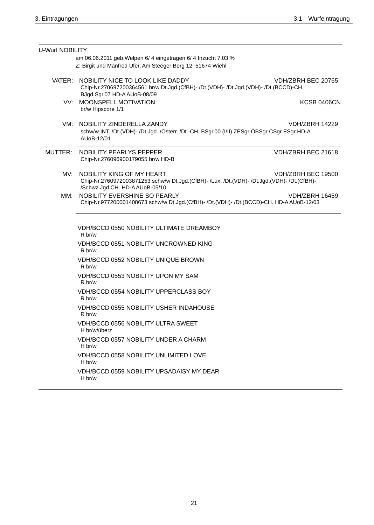| <b>U-Wurf NOBILITY</b> |                                                                                                                                                          |                       |
|------------------------|----------------------------------------------------------------------------------------------------------------------------------------------------------|-----------------------|
|                        | am 06.06.2011 geb. Welpen 6/ 4 eingetragen 6/ 4 Inzucht 7,03 %                                                                                           |                       |
|                        | Z: Birgit und Manfred Ufer, Am Steeger Berg 12, 51674 Wiehl                                                                                              |                       |
| VATER:                 | NOBILITY NICE TO LOOK LIKE DADDY<br>Chip-Nr.270697200364561 br/w Dt.Jgd.(CfBH)- /Dt.(VDH)- /Dt.Jgd.(VDH)- /Dt.(BCCD)-CH.<br>BJgd.Sgr'07 HD-AAUoB-08/09   | VDH/ZBRH BEC 20765    |
|                        | VV: MOONSPELL MOTIVATION<br>br/w Hipscore 1/1                                                                                                            | <b>KCSB 0406CN</b>    |
| VM:                    | NOBILITY ZINDERELLA ZANDY<br>schw/w INT. /Dt.(VDH)- /Dt.Jgd. /Österr. /Dt.-CH. BSgr'00 (I/II) ZESgr ÖBSgr CSgr ESgr HD-A<br>AUoB-12/01                   | <b>VDH/ZBRH 14229</b> |
| MUTTER:                | NOBILITY PEARLYS PEPPER<br>Chip-Nr.276096900179055 br/w HD-B                                                                                             | VDH/ZBRH BEC 21618    |
| MV:                    | NOBILITY KING OF MY HEART<br>Chip-Nr.2760972003871253 schw/w Dt.Jgd.(CfBH)- /Lux. /Dt.(VDH)- /Dt.Jgd.(VDH)- /Dt.(CfBH)-<br>/Schwz.Jgd.CH. HD-AAUoB-05/10 | VDH/ZBRH BEC 19500    |
| MM:                    | NOBILITY EVERSHINE SO PEARLY<br>Chip-Nr.977200001408673 schw/w Dt.Jgd.(CfBH)- /Dt.(VDH)- /Dt.(BCCD)-CH. HD-AAUoB-12/03                                   | <b>VDH/ZBRH 16459</b> |
|                        | VDH/BCCD 0550 NOBILITY ULTIMATE DREAMBOY<br>R br/w                                                                                                       |                       |
|                        | VDH/BCCD 0551 NOBILITY UNCROWNED KING<br>R br/w                                                                                                          |                       |
|                        | VDH/BCCD 0552 NOBILITY UNIQUE BROWN<br>R br/w                                                                                                            |                       |
|                        | VDH/BCCD 0553 NOBILITY UPON MY SAM<br>R br/w                                                                                                             |                       |
|                        | <b>VDH/BCCD 0554 NOBILITY UPPERCLASS BOY</b><br>R br/w                                                                                                   |                       |
|                        | <b>VDH/BCCD 0555 NOBILITY USHER INDAHOUSE</b><br>R br/w                                                                                                  |                       |
|                        | <b>VDH/BCCD 0556 NOBILITY ULTRA SWEET</b><br>H br/w/überz                                                                                                |                       |
|                        | <b>VDH/BCCD 0557 NOBILITY UNDER A CHARM</b><br>H br/w                                                                                                    |                       |
|                        | <b>VDH/BCCD 0558 NOBILITY UNLIMITED LOVE</b><br>H br/w                                                                                                   |                       |
|                        | VDH/BCCD 0559 NOBILITY UPSADAISY MY DEAR<br>H br/w                                                                                                       |                       |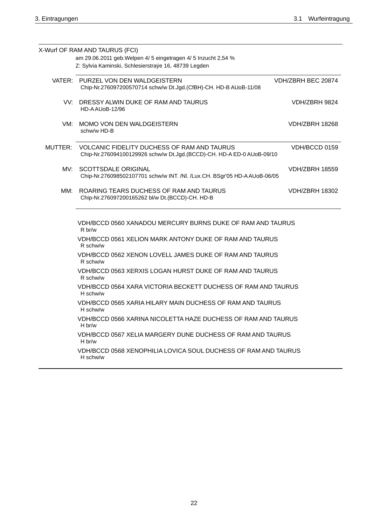|     | X-Wurf OF RAM AND TAURUS (FCI)                                                                                               |                       |
|-----|------------------------------------------------------------------------------------------------------------------------------|-----------------------|
|     | am 29.06.2011 geb. Welpen 4/ 5 eingetragen 4/ 5 Inzucht 2,54 %<br>Z: Sylvia Kaminski, Schlesierstraÿe 16, 48739 Legden       |                       |
|     |                                                                                                                              |                       |
|     | VATER: PURZEL VON DEN WALDGEISTERN<br>Chip-Nr.276097200570714 schw/w Dt.Jgd.(CfBH)-CH. HD-B AUoB-11/08                       | VDH/ZBRH BEC 20874    |
|     | VV: DRESSY ALWIN DUKE OF RAM AND TAURUS<br>HD-AAUoB-12/96                                                                    | VDH/ZBRH 9824         |
|     | VM: MOMO VON DEN WALDGEISTERN<br>schw/w HD-B                                                                                 | VDH/ZBRH 18268        |
|     | MUTTER: VOLCANIC FIDELITY DUCHESS OF RAM AND TAURUS<br>Chip-Nr.276094100129926 schw/w Dt.Jgd.(BCCD)-CH. HD-A ED-0 AUoB-09/10 | VDH/BCCD 0159         |
| MV: | <b>SCOTTSDALE ORIGINAL</b><br>Chip-Nr.276098502107701 schw/w INT. /Nl. /Lux.CH. BSgr'05 HD-A AUoB-06/05                      | <b>VDH/ZBRH 18559</b> |
| MM: | ROARING TEARS DUCHESS OF RAM AND TAURUS<br>Chip-Nr.276097200165262 bl/w Dt.(BCCD)-CH. HD-B                                   | <b>VDH/ZBRH 18302</b> |
|     | VDH/BCCD 0560 XANADOU MERCURY BURNS DUKE OF RAM AND TAURUS<br>R <sub>b</sub> r/w                                             |                       |
|     | <b>VDH/BCCD 0561 XELION MARK ANTONY DUKE OF RAM AND TAURUS</b><br>R schw/w                                                   |                       |
|     | VDH/BCCD 0562 XENON LOVELL JAMES DUKE OF RAM AND TAURUS<br>R schw/w                                                          |                       |
|     | VDH/BCCD 0563 XERXIS LOGAN HURST DUKE OF RAM AND TAURUS<br>R schw/w                                                          |                       |
|     | VDH/BCCD 0564 XARA VICTORIA BECKETT DUCHESS OF RAM AND TAURUS<br>H schw/w                                                    |                       |
|     | VDH/BCCD 0565 XARIA HILARY MAIN DUCHESS OF RAM AND TAURUS<br>H schw/w                                                        |                       |
|     | VDH/BCCD 0566 XARINA NICOLETTA HAZE DUCHESS OF RAM AND TAURUS<br>H br/w                                                      |                       |
|     | VDH/BCCD 0567 XELIA MARGERY DUNE DUCHESS OF RAM AND TAURUS<br>H br/w                                                         |                       |
|     | VDH/BCCD 0568 XENOPHILIA LOVICA SOUL DUCHESS OF RAM AND TAURUS                                                               |                       |

H schw/w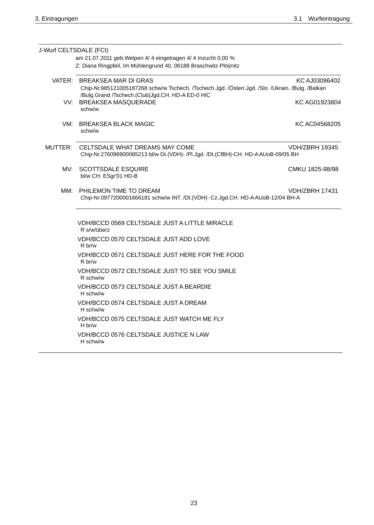| J-Wurf CELTSDALE (FCI) |                                                                                                                                                                                     |                 |
|------------------------|-------------------------------------------------------------------------------------------------------------------------------------------------------------------------------------|-----------------|
|                        | am 21.07.2011 geb. Welpen 4/ 4 eingetragen 4/ 4 Inzucht 0,00 %<br>Z: Diana Ringpfeil, Im Mühlengrund 40, 06188 Braschwitz-Plöÿnitz                                                  |                 |
|                        | VATER: BREAKSEA MAR DI GRAS<br>Chip-Nr.985121005187268 schw/w Tschech. /Tschech.Jgd. /Österr.Jgd. /Slo. /Ukrain. /Bulg. /Balkan<br>/Bulg.Grand /Tschech.(Club)Jgd.CH. HD-A ED-0 HIC | KC AJ03096402   |
|                        | VV: BREAKSEA MASQUERADE<br>schw/w                                                                                                                                                   | KC AG01923804   |
| VM:                    | <b>BREAKSEA BLACK MAGIC</b><br>schw/w                                                                                                                                               | KC AC04568205   |
| MUTTER:                | CELTSDALE WHAT DREAMS MAY COME<br>Chip-Nr.276096900085213 bl/w Dt.(VDH)- /Pl.Jgd. /Dt.(CfBH)-CH. HD-AAUoB-09/05 BH                                                                  | VDH/ZBRH 19345  |
| MV:                    | <b>SCOTTSDALE ESQUIRE</b><br>bl/w CH. ESgr'01 HD-B                                                                                                                                  | CMKU 1825-98/98 |
| MM:                    | PHILEMON TIME TO DREAM<br>Chip-Nr.0977200001666181 schw/w INT. /Dt.(VDH)- Cz.Jgd.CH. HD-AAUoB-12/04 BH-A                                                                            | VDH/ZBRH 17431  |
|                        | VDH/BCCD 0569 CELTSDALE JUST A LITTLE MIRACLE<br>R s/w/überz                                                                                                                        |                 |
|                        | VDH/BCCD 0570 CELTSDALE JUST ADD LOVE<br>R <sub>b</sub> r/w                                                                                                                         |                 |
|                        | VDH/BCCD 0571 CELTSDALE JUST HERE FOR THE FOOD<br>R br/w                                                                                                                            |                 |
|                        | VDH/BCCD 0572 CELTSDALE JUST TO SEE YOU SMILE<br>R schw/w                                                                                                                           |                 |
|                        | VDH/BCCD 0573 CELTSDALE JUST A BEARDIE<br>H schw/w                                                                                                                                  |                 |
|                        | VDH/BCCD 0574 CELTSDALE JUST A DREAM<br>H schw/w                                                                                                                                    |                 |
|                        | VDH/BCCD 0575 CELTSDALE JUST WATCH ME FLY<br>H br/w                                                                                                                                 |                 |
|                        | VDH/BCCD 0576 CELTSDALE JUSTICE N LAW<br>H schw/w                                                                                                                                   |                 |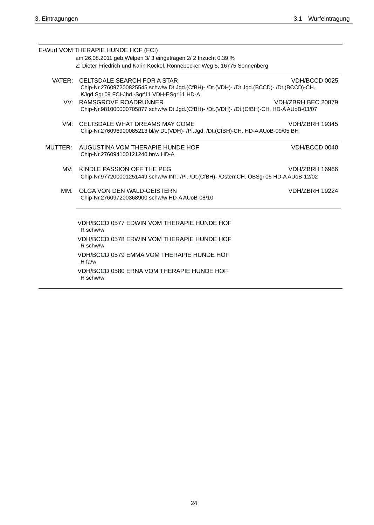|         | E-Wurf VOM THERAPIE HUNDE HOF (FCI)                                                                                                                                           |                       |
|---------|-------------------------------------------------------------------------------------------------------------------------------------------------------------------------------|-----------------------|
|         | am 26.08.2011 geb. Welpen 3/ 3 eingetragen 2/ 2 Inzucht 0,39 %                                                                                                                |                       |
|         | Z: Dieter Friedrich und Karin Kockel, Rönnebecker Weg 5, 16775 Sonnenberg                                                                                                     |                       |
|         | VATER: CELTSDALE SEARCH FOR A STAR<br>Chip-Nr.276097200825545 schw/w Dt.Jgd.(CfBH)- /Dt.(VDH)- /Dt.Jgd.(BCCD)- /Dt.(BCCD)-CH.<br>KJgd.Sgr'09 FCI-Jhd.-Sgr'11 VDH-ESgr'11 HD-A | VDH/BCCD 0025         |
|         | VV: RAMSGROVE ROADRUNNER<br>Chip-Nr.981000000705877 schw/w Dt.Jgd.(CfBH)- /Dt.(VDH)- /Dt.(CfBH)-CH. HD-AAUoB-03/07                                                            | VDH/ZBRH BEC 20879    |
| VM:     | CELTSDALE WHAT DREAMS MAY COME<br>Chip-Nr.276096900085213 bl/w Dt.(VDH)- /Pl.Jgd. /Dt.(CfBH)-CH. HD-AAUoB-09/05 BH                                                            | VDH/ZBRH 19345        |
| MUTTER: | AUGUSTINA VOM THERAPIE HUNDE HOF<br>Chip-Nr.276094100121240 br/w HD-A                                                                                                         | VDH/BCCD 0040         |
| MV:     | KINDLE PASSION OFF THE PEG<br>Chip-Nr.977200001251449 schw/w INT. /Pl. /Dt.(CfBH)- /Österr.CH. ÖBSgr'05 HD-A AUoB-12/02                                                       | <b>VDH/ZBRH 16966</b> |
| MM:     | OLGA VON DEN WALD-GEISTERN<br>Chip-Nr.276097200368900 schw/w HD-AAUoB-08/10                                                                                                   | <b>VDH/ZBRH 19224</b> |
|         | VDH/BCCD 0577 EDWIN VOM THERAPIE HUNDE HOF<br>R schw/w                                                                                                                        |                       |
|         | VDH/BCCD 0578 ERWIN VOM THERAPIE HUNDE HOF<br>R schw/w                                                                                                                        |                       |
|         | VDH/BCCD 0579 EMMA VOM THERAPIE HUNDE HOF<br>H fa/w                                                                                                                           |                       |
|         | VDH/BCCD 0580 ERNA VOM THERAPIE HUNDE HOF<br>H schw/w                                                                                                                         |                       |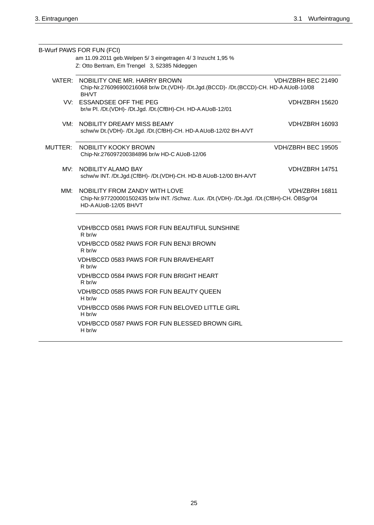|         | B-Wurf PAWS FOR FUN (FCI)<br>am 11.09.2011 geb. Welpen 5/ 3 eingetragen 4/ 3 Inzucht 1,95 %<br>Z: Otto Bertram, Em Trengel 3, 52385 Nideggen                                  |                       |
|---------|-------------------------------------------------------------------------------------------------------------------------------------------------------------------------------|-----------------------|
|         |                                                                                                                                                                               |                       |
|         | VATER: NOBILITY ONE MR. HARRY BROWN<br>Chip-Nr.276096900216068 br/w Dt.(VDH)- /Dt.Jgd.(BCCD)- /Dt.(BCCD)-CH. HD-AAUoB-10/08<br><b>BH/VT</b>                                   | VDH/ZBRH BEC 21490    |
|         | VV: ESSANDSEE OFF THE PEG<br>br/w Pl. /Dt.(VDH)- /Dt.Jgd. /Dt.(CfBH)-CH. HD-AAUoB-12/01                                                                                       | <b>VDH/ZBRH 15620</b> |
| VM:     | NOBILITY DREAMY MISS BEAMY<br>schw/w Dt.(VDH)- /Dt.Jgd. /Dt.(CfBH)-CH. HD-AAUoB-12/02 BH-A/VT                                                                                 | <b>VDH/ZBRH 16093</b> |
| MUTTER: | NOBILITY KOOKY BROWN<br>Chip-Nr.276097200384896 br/w HD-C AUoB-12/06                                                                                                          | VDH/ZBRH BEC 19505    |
|         | MV: NOBILITY ALAMO BAY<br>schw/w INT. /Dt.Jgd.(CfBH)- /Dt.(VDH)-CH. HD-B AUoB-12/00 BH-A/VT                                                                                   | <b>VDH/ZBRH 14751</b> |
| MM:     | NOBILITY FROM ZANDY WITH LOVE<br><b>VDH/ZBRH 16811</b><br>Chip-Nr.977200001502435 br/w INT. /Schwz. /Lux. /Dt.(VDH)- /Dt.Jgd. /Dt.(CfBH)-CH. ÖBSgr'04<br>HD-AAU0B-12/05 BH/VT |                       |
|         | VDH/BCCD 0581 PAWS FOR FUN BEAUTIFUL SUNSHINE<br>R br/w                                                                                                                       |                       |
|         | VDH/BCCD 0582 PAWS FOR FUN BENJI BROWN<br>R <sub>b</sub> r/w                                                                                                                  |                       |
|         | VDH/BCCD 0583 PAWS FOR FUN BRAVEHEART<br>R br/w                                                                                                                               |                       |
|         | VDH/BCCD 0584 PAWS FOR FUN BRIGHT HEART<br>R <sub>b</sub> r/w                                                                                                                 |                       |
|         | VDH/BCCD 0585 PAWS FOR FUN BEAUTY QUEEN<br>H br/w                                                                                                                             |                       |
|         | VDH/BCCD 0586 PAWS FOR FUN BELOVED LITTLE GIRL<br>H br/w                                                                                                                      |                       |
|         | VDH/BCCD 0587 PAWS FOR FUN BLESSED BROWN GIRL<br>H br/w                                                                                                                       |                       |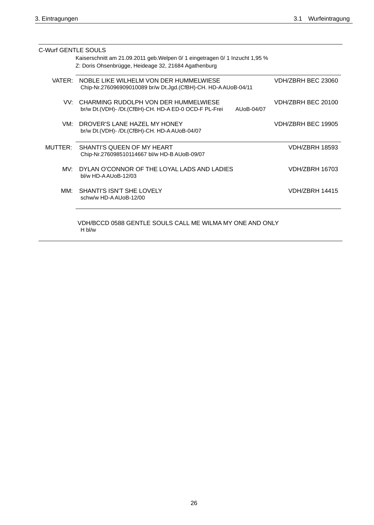| C-Wurf GENTLE SOULS |                                                                                                                 |                       |
|---------------------|-----------------------------------------------------------------------------------------------------------------|-----------------------|
|                     | Kaiserschnitt am 21.09.2011 geb. Welpen 0/ 1 eingetragen 0/ 1 Inzucht 1,95 %                                    |                       |
|                     | Z: Doris Ohsenbrügge, Heideage 32, 21684 Agathenburg                                                            |                       |
| VATER:              | NOBLE LIKE WILHELM VON DER HUMMELWIESE<br>Chip-Nr.276096909010089 br/w Dt.Jgd. (CfBH)-CH. HD-AAUoB-04/11        | VDH/ZBRH BFC 23060    |
|                     | VV: CHARMING RUDOLPH VON DER HUMMELWIESE<br>br/w Dt.(VDH)- /Dt.(CfBH)-CH. HD-A ED-0 OCD-F PL-Frei<br>AUoB-04/07 | VDH/ZBRH BEC 20100    |
| VM:                 | DROVER'S LANE HAZEL MY HONEY<br>br/w Dt.(VDH)- /Dt.(CfBH)-CH. HD-A AUoB-04/07                                   | VDH/ZBRH BEC 19905    |
| MUTTER:             | SHANTI'S QUEEN OF MY HEART<br>Chip-Nr.276098510114667 bl/w HD-B AUoB-09/07                                      | <b>VDH/ZBRH 18593</b> |
| MV:                 | DYLAN O'CONNOR OF THE LOYAL LADS AND LADIES<br>bl/w HD-AAUoB-12/03                                              | <b>VDH/ZBRH 16703</b> |
| MM·                 | SHANTI'S ISN'T SHE LOVELY<br>schw/w HD-A AUoB-12/00                                                             | <b>VDH/ZBRH 14415</b> |
|                     | VDH/BCCD 0588 GENTLE SOULS CALL ME WILMA MY ONE AND ONLY                                                        |                       |

H bl/w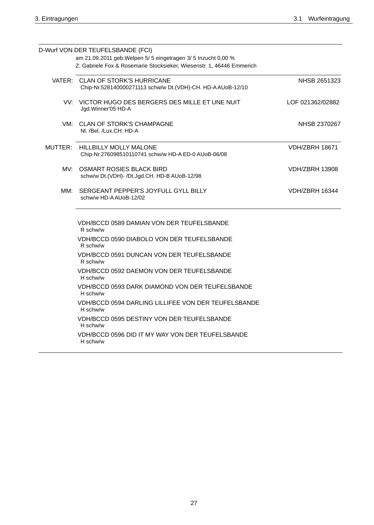|     | D-Wurf VON DER TEUFELSBANDE (FCI)                                                              |                       |
|-----|------------------------------------------------------------------------------------------------|-----------------------|
|     | am 21.09.2011 geb. Welpen 5/ 5 eingetragen 3/ 5 Inzucht 0,00 %                                 |                       |
|     | Z: Gabriele Fox & Rosemarie Stocksieker, Wiesenstr. 1, 46446 Emmerich                          |                       |
|     | VATER: CLAN OF STORK'S HURRICANE<br>Chip-Nr.528140000271113 schw/w Dt.(VDH)-CH. HD-AAUoB-12/10 | NHSB 2651323          |
|     | VV: VICTOR HUGO DES BERGERS DES MILLE ET UNE NUIT<br>Jgd. Winner'05 HD-A                       | LOF 021362/02882      |
|     | VM: CLAN OF STORK'S CHAMPAGNE<br>NI. /Bel. /Lux.CH. HD-A                                       | NHSB 2370267          |
|     | MUTTER: HILLBILLY MOLLY MALONE<br>Chip-Nr.276098510110741 schw/w HD-A ED-0 AUoB-06/08          | <b>VDH/ZBRH 18671</b> |
|     | MV: OSMART ROSIES BLACK BIRD<br>schw/w Dt.(VDH)- /Dt.Jgd.CH. HD-B AUoB-12/98                   | VDH/ZBRH 13908        |
| MM: | SERGEANT PEPPER'S JOYFULL GYLL BILLY<br>schw/w HD-A AUoB-12/02                                 | VDH/ZBRH 16344        |
|     | <b>VDH/BCCD 0589 DAMIAN VON DER TEUFELSBANDE</b><br>R schw/w                                   |                       |
|     | VDH/BCCD 0590 DIABOLO VON DER TEUFELSBANDE<br>R schw/w                                         |                       |
|     | VDH/BCCD 0591 DUNCAN VON DER TEUFELSBANDE<br>R schw/w                                          |                       |
|     | VDH/BCCD 0592 DAEMON VON DER TEUFELSBANDE<br>H schw/w                                          |                       |
|     | VDH/BCCD 0593 DARK DIAMOND VON DER TEUFELSBANDE<br>H schw/w                                    |                       |
|     | VDH/BCCD 0594 DARLING LILLIFEE VON DER TEUFELSBANDE<br>H schw/w                                |                       |
|     | VDH/BCCD 0595 DESTINY VON DER TEUFELSBANDE<br>H schw/w                                         |                       |
|     | VDH/BCCD 0596 DID IT MY WAY VON DER TEUFELSBANDE<br>H schw/w                                   |                       |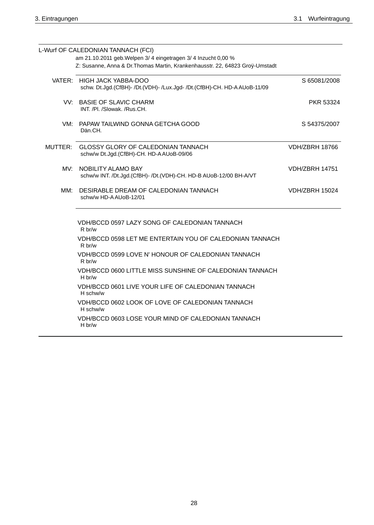|         | L-Wurf OF CALEDONIAN TANNACH (FCI)                                                                     |                       |
|---------|--------------------------------------------------------------------------------------------------------|-----------------------|
|         | am 21.10.2011 geb. Welpen 3/ 4 eingetragen 3/ 4 Inzucht 0,00 %                                         |                       |
|         | Z: Susanne, Anna & Dr. Thomas Martin, Krankenhausstr. 22, 64823 Groÿ-Umstadt                           |                       |
|         | VATER: HIGH JACK YABBA-DOO<br>schw. Dt.Jgd.(CfBH)- /Dt.(VDH)- /Lux.Jgd- /Dt.(CfBH)-CH. HD-A AUoB-11/09 | S 65081/2008          |
|         | VV: BASIE OF SLAVIC CHARM<br>INT. /Pl. /Slowak. /Rus.CH.                                               | PKR 53324             |
|         | VM: PAPAW TAILWIND GONNA GETCHA GOOD<br>Dän.CH.                                                        | S 54375/2007          |
| MUTTER: | <b>GLOSSY GLORY OF CALEDONIAN TANNACH</b><br>schw/w Dt.Jgd.(CfBH)-CH. HD-AAUoB-09/06                   | <b>VDH/ZBRH 18766</b> |
| MV:     | NOBILITY ALAMO BAY<br>schw/w INT. /Dt.Jgd.(CfBH)- /Dt.(VDH)-CH. HD-B AUoB-12/00 BH-A/VT                | <b>VDH/ZBRH 14751</b> |
| MM:     | DESIRABLE DREAM OF CALEDONIAN TANNACH<br>schw/w HD-A AUoB-12/01                                        | <b>VDH/ZBRH 15024</b> |
|         | VDH/BCCD 0597 LAZY SONG OF CALEDONIAN TANNACH<br>R br/w                                                |                       |
|         | VDH/BCCD 0598 LET ME ENTERTAIN YOU OF CALEDONIAN TANNACH<br>R br/w                                     |                       |
|         | VDH/BCCD 0599 LOVE N' HONOUR OF CALEDONIAN TANNACH<br>R br/w                                           |                       |
|         | VDH/BCCD 0600 LITTLE MISS SUNSHINE OF CALEDONIAN TANNACH<br>$H$ br/w                                   |                       |
|         | VDH/BCCD 0601 LIVE YOUR LIFE OF CALEDONIAN TANNACH<br>H schw/w                                         |                       |
|         | VDH/BCCD 0602 LOOK OF LOVE OF CALEDONIAN TANNACH                                                       |                       |

H schw/w VDH/BCCD 0603 LOSE YOUR MIND OF CALEDONIAN TANNACH

H br/w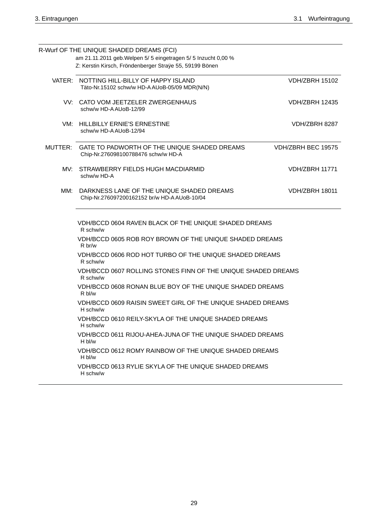|     | R-Wurf OF THE UNIQUE SHADED DREAMS (FCI)                                                    |                           |
|-----|---------------------------------------------------------------------------------------------|---------------------------|
|     | am 21.11.2011 geb. Welpen 5/ 5 eingetragen 5/ 5 Inzucht 0,00 %                              |                           |
|     | Z: Kerstin Kirsch, Fröndenberger Straÿe 55, 59199 Bönen                                     |                           |
|     | VATER: NOTTING HILL-BILLY OF HAPPY ISLAND<br>Täto-Nr.15102 schw/w HD-AAUoB-05/09 MDR(N/N)   | <b>VDH/ZBRH 15102</b>     |
|     | VV: CATO VOM JEETZELER ZWERGENHAUS<br>schw/w HD-A AUoB-12/99                                | <b>VDH/ZBRH 12435</b>     |
|     | VM: HILLBILLY ERNIE'S ERNESTINE<br>schw/w HD-A AUoB-12/94                                   | VDH/ZBRH 8287             |
|     | MUTTER: GATE TO PADWORTH OF THE UNIQUE SHADED DREAMS<br>Chip-Nr.276098100788476 schw/w HD-A | <b>VDH/ZBRH BEC 19575</b> |
|     | MV: STRAWBERRY FIELDS HUGH MACDIARMID<br>schw/w HD-A                                        | VDH/ZBRH 11771            |
| MM: | DARKNESS LANE OF THE UNIQUE SHADED DREAMS<br>Chip-Nr.276097200162152 br/w HD-A AUoB-10/04   | <b>VDH/ZBRH 18011</b>     |
|     | VDH/BCCD 0604 RAVEN BLACK OF THE UNIQUE SHADED DREAMS<br>R schw/w                           |                           |
|     | VDH/BCCD 0605 ROB ROY BROWN OF THE UNIQUE SHADED DREAMS<br>R br/w                           |                           |
|     | VDH/BCCD 0606 ROD HOT TURBO OF THE UNIQUE SHADED DREAMS<br>R schw/w                         |                           |
|     | VDH/BCCD 0607 ROLLING STONES FINN OF THE UNIQUE SHADED DREAMS<br>R schw/w                   |                           |
|     | VDH/BCCD 0608 RONAN BLUE BOY OF THE UNIQUE SHADED DREAMS<br>R bl/w                          |                           |
|     | VDH/BCCD 0609 RAISIN SWEET GIRL OF THE UNIQUE SHADED DREAMS<br>H schw/w                     |                           |
|     | VDH/BCCD 0610 REILY-SKYLA OF THE UNIQUE SHADED DREAMS<br>H schw/w                           |                           |
|     | VDH/BCCD 0611 RIJOU-AHEA-JUNA OF THE UNIQUE SHADED DREAMS<br>H bl/w                         |                           |
|     | VDH/BCCD 0612 ROMY RAINBOW OF THE UNIQUE SHADED DREAMS<br>H bl/w                            |                           |
|     | VDH/BCCD 0613 RYLIE SKYLA OF THE UNIQUE SHADED DREAMS<br>H schw/w                           |                           |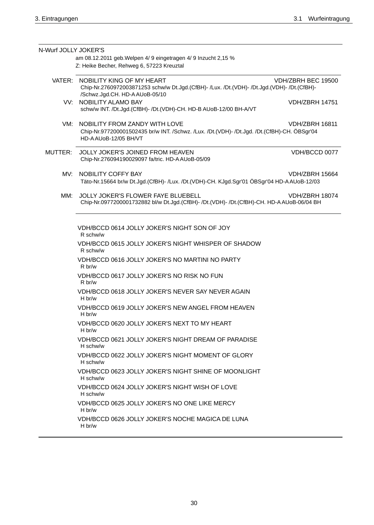| N-Wurf JOLLY JOKER'S |                                                                                                                                                                                       |
|----------------------|---------------------------------------------------------------------------------------------------------------------------------------------------------------------------------------|
|                      | am 08.12.2011 geb. Welpen 4/ 9 eingetragen 4/ 9 Inzucht 2,15 %                                                                                                                        |
|                      | Z: Heike Becher, Rehweg 6, 57223 Kreuztal                                                                                                                                             |
|                      | VATER: NOBILITY KING OF MY HEART<br>VDH/ZBRH BEC 19500<br>Chip-Nr.2760972003871253 schw/w Dt.Jgd.(CfBH)- /Lux. /Dt.(VDH)- /Dt.Jgd.(VDH)- /Dt.(CfBH)-<br>/Schwz.Jgd.CH. HD-AAUoB-05/10 |
|                      | VV: NOBILITY ALAMO BAY<br><b>VDH/ZBRH 14751</b><br>schw/w INT. /Dt.Jgd.(CfBH)- /Dt.(VDH)-CH. HD-B AUoB-12/00 BH-A/VT                                                                  |
| VM:                  | NOBILITY FROM ZANDY WITH LOVE<br><b>VDH/ZBRH 16811</b><br>Chip-Nr.977200001502435 br/w INT. /Schwz. /Lux. /Dt.(VDH)- /Dt.Jgd. /Dt.(CfBH)-CH. ÖBSgr'04<br>HD-AAU0B-12/05 BH/VT         |
| MUTTER:              | VDH/BCCD 0077<br>JOLLY JOKER'S JOINED FROM HEAVEN<br>Chip-Nr.276094190029097 fa/tric. HD-AAUoB-05/09                                                                                  |
| MV:                  | NOBILITY COFFY BAY<br>VDH/ZBRH 15664<br>Täto-Nr.15664 br/w Dt.Jgd.(CfBH)- /Lux. /Dt.(VDH)-CH. KJgd.Sgr'01 ÖBSgr'04 HD-AAUoB-12/03                                                     |
| MM:                  | JOLLY JOKER'S FLOWER FAYE BLUEBELL<br><b>VDH/ZBRH 18074</b><br>Chip-Nr.0977200001732882 bl/w Dt.Jgd.(CfBH)- /Dt.(VDH)- /Dt.(CfBH)-CH. HD-AAUoB-06/04 BH                               |
|                      | VDH/BCCD 0614 JOLLY JOKER'S NIGHT SON OF JOY<br>R schw/w                                                                                                                              |
|                      | VDH/BCCD 0615 JOLLY JOKER'S NIGHT WHISPER OF SHADOW<br>R schw/w                                                                                                                       |
|                      | VDH/BCCD 0616 JOLLY JOKER'S NO MARTINI NO PARTY<br>R br/w                                                                                                                             |
|                      | VDH/BCCD 0617 JOLLY JOKER'S NO RISK NO FUN<br>R br/w                                                                                                                                  |
|                      | VDH/BCCD 0618 JOLLY JOKER'S NEVER SAY NEVER AGAIN<br>H br/w                                                                                                                           |
|                      | VDH/BCCD 0619 JOLLY JOKER'S NEW ANGEL FROM HEAVEN<br>H br/w                                                                                                                           |
|                      | VDH/BCCD 0620 JOLLY JOKER'S NEXT TO MY HEART<br>H br/w                                                                                                                                |
|                      | VDH/BCCD 0621 JOLLY JOKER'S NIGHT DREAM OF PARADISE<br>H schw/w                                                                                                                       |
|                      | VDH/BCCD 0622 JOLLY JOKER'S NIGHT MOMENT OF GLORY<br>H schw/w                                                                                                                         |
|                      | VDH/BCCD 0623 JOLLY JOKER'S NIGHT SHINE OF MOONLIGHT<br>H schw/w                                                                                                                      |
|                      | VDH/BCCD 0624 JOLLY JOKER'S NIGHT WISH OF LOVE<br>H schw/w                                                                                                                            |
|                      | VDH/BCCD 0625 JOLLY JOKER'S NO ONE LIKE MERCY<br>H br/w                                                                                                                               |
|                      | VDH/BCCD 0626 JOLLY JOKER'S NOCHE MAGICA DE LUNA<br>H br/w                                                                                                                            |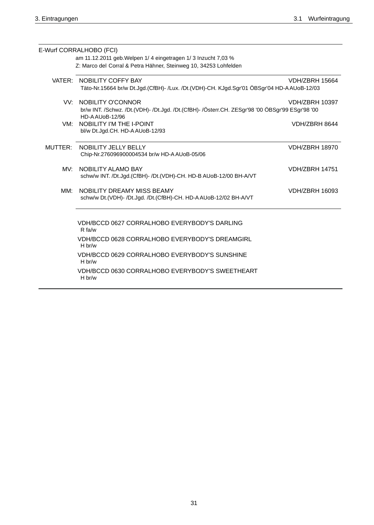|         | E-Wurf CORRALHOBO (FCI)                                                                                                          |                       |
|---------|----------------------------------------------------------------------------------------------------------------------------------|-----------------------|
|         | am 11.12.2011 geb. Welpen 1/4 eingetragen 1/3 Inzucht 7,03 %<br>Z: Marco del Corral & Petra Hähner, Steinweg 10, 34253 Lohfelden |                       |
|         |                                                                                                                                  |                       |
|         | VATER: NOBILITY COFFY BAY<br>Täto-Nr.15664 br/w Dt.Jgd.(CfBH)- /Lux. /Dt.(VDH)-CH. KJgd.Sgr'01 ÖBSgr'04 HD-AAUoB-12/03           | VDH/ZBRH 15664        |
|         |                                                                                                                                  |                       |
|         | VV: NOBILITY O'CONNOR                                                                                                            | <b>VDH/ZBRH 10397</b> |
|         | br/w INT. /Schwz. /Dt.(VDH)- /Dt.Jgd. /Dt.(CfBH)- /Österr.CH. ZESgr'98 '00 ÖBSgr'99 ESgr'98 '00<br>HD-AAUoB-12/96                |                       |
|         | VM: NOBILITY I'M THE I-POINT                                                                                                     | VDH/ZBRH 8644         |
|         | bl/w Dt.Jgd.CH. HD-A AUoB-12/93                                                                                                  |                       |
| MUTTER: | NOBILITY JELLY BELLY                                                                                                             | <b>VDH/ZBRH 18970</b> |
|         | Chip-Nr.276096900004534 br/w HD-A AUoB-05/06                                                                                     |                       |
| MV:     | <b>NOBILITY ALAMO BAY</b>                                                                                                        | <b>VDH/ZBRH 14751</b> |
|         | schw/w INT. /Dt.Jgd.(CfBH)- /Dt.(VDH)-CH. HD-B AUoB-12/00 BH-A/VT                                                                |                       |
| MM:     | NOBILITY DREAMY MISS BEAMY                                                                                                       | <b>VDH/ZBRH 16093</b> |
|         | schw/w Dt.(VDH)- /Dt.Jgd. /Dt.(CfBH)-CH. HD-A AUoB-12/02 BH-A/VT                                                                 |                       |
|         |                                                                                                                                  |                       |
|         | VDH/BCCD 0627 CORRALHOBO EVERYBODY'S DARLING                                                                                     |                       |
|         | $R$ fa/w                                                                                                                         |                       |
|         | VDH/BCCD 0628 CORRALHOBO EVERYBODY'S DREAMGIRL<br>H br/w                                                                         |                       |
|         | VDH/BCCD 0629 CORRALHOBO EVERYBODY'S SUNSHINE<br>H br/w                                                                          |                       |
|         | VDH/BCCD 0630 CORRALHOBO EVERYBODY'S SWEETHEART<br>$H$ br/w                                                                      |                       |
|         |                                                                                                                                  |                       |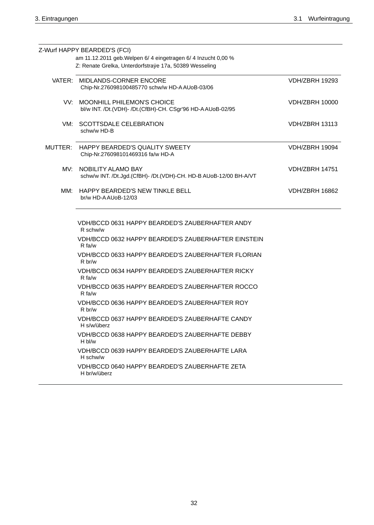|         | Z-Wurf HAPPY BEARDED'S (FCI)                                      |                       |
|---------|-------------------------------------------------------------------|-----------------------|
|         | am 11.12.2011 geb. Welpen 6/ 4 eingetragen 6/ 4 Inzucht 0,00 %    |                       |
|         | Z: Renate Grelka, Unterdorfstraÿe 17a, 50389 Wesseling            |                       |
|         |                                                                   |                       |
|         | VATER: MIDLANDS-CORNER ENCORE                                     | <b>VDH/ZBRH 19293</b> |
|         | Chip-Nr.276098100485770 schw/w HD-A AUoB-03/06                    |                       |
|         |                                                                   |                       |
|         | VV: MOONHILL PHILEMON'S CHOICE                                    | <b>VDH/ZBRH 10000</b> |
|         | bl/w INT. /Dt.(VDH)- /Dt.(CfBH)-CH. CSgr'96 HD-AAUoB-02/95        |                       |
|         | VM: SCOTTSDALE CELEBRATION                                        | <b>VDH/ZBRH 13113</b> |
|         | schw/w HD-B                                                       |                       |
|         |                                                                   |                       |
| MUTTER: | HAPPY BEARDED'S QUALITY SWEETY                                    | VDH/ZBRH 19094        |
|         | Chip-Nr.276098101469316 fa/w HD-A                                 |                       |
|         |                                                                   |                       |
|         | MV: NOBILITY ALAMO BAY                                            | <b>VDH/ZBRH 14751</b> |
|         | schw/w INT. /Dt.Jgd.(CfBH)- /Dt.(VDH)-CH. HD-B AUoB-12/00 BH-A/VT |                       |
|         |                                                                   |                       |
|         | MM: HAPPY BEARDED'S NEW TINKLE BELL                               | <b>VDH/ZBRH 16862</b> |
|         | br/w HD-AAUoB-12/03                                               |                       |
|         |                                                                   |                       |
|         |                                                                   |                       |
|         | VDH/BCCD 0631 HAPPY BEARDED'S ZAUBERHAFTER ANDY<br>R schw/w       |                       |
|         |                                                                   |                       |
|         | VDH/BCCD 0632 HAPPY BEARDED'S ZAUBERHAFTER EINSTEIN<br>R fa/w     |                       |
|         |                                                                   |                       |
|         | VDH/BCCD 0633 HAPPY BEARDED'S ZAUBERHAFTER FLORIAN<br>R br/w      |                       |
|         |                                                                   |                       |
|         | VDH/BCCD 0634 HAPPY BEARDED'S ZAUBERHAFTER RICKY<br>$R$ fa/w      |                       |
|         | VDH/BCCD 0635 HAPPY BEARDED'S ZAUBERHAFTER ROCCO                  |                       |
|         | R fa/w                                                            |                       |
|         | VDH/BCCD 0636 HAPPY BEARDED'S ZAUBERHAFTER ROY                    |                       |
|         | R br/w                                                            |                       |
|         | VDH/BCCD 0637 HAPPY BEARDED'S ZAUBERHAFTE CANDY                   |                       |
|         | H s/w/überz                                                       |                       |
|         | VDH/BCCD 0638 HAPPY BEARDED'S ZAUBERHAFTE DEBBY                   |                       |
|         | H bl/w                                                            |                       |
|         | VDH/BCCD 0639 HAPPY BEARDED'S ZAUBERHAFTE LARA                    |                       |
|         | H schw/w                                                          |                       |
|         | VDH/BCCD 0640 HAPPY BEARDED'S ZAUBERHAFTE ZETA                    |                       |
|         | H br/w/überz                                                      |                       |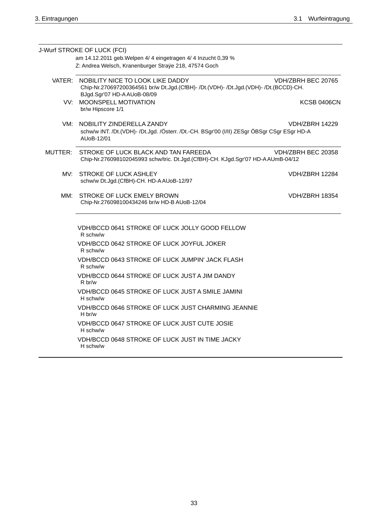|         | J-Wurf STROKE OF LUCK (FCI)                                                                                                                                   |                       |
|---------|---------------------------------------------------------------------------------------------------------------------------------------------------------------|-----------------------|
|         | am 14.12.2011 geb. Welpen 4/ 4 eingetragen 4/ 4 Inzucht 0,39 %                                                                                                |                       |
|         | Z: Andrea Welsch, Kranenburger Straÿe 218, 47574 Goch                                                                                                         |                       |
|         | VATER: NOBILITY NICE TO LOOK LIKE DADDY<br>Chip-Nr.270697200364561 br/w Dt.Jgd.(CfBH)- /Dt.(VDH)- /Dt.Jgd.(VDH)- /Dt.(BCCD)-CH.<br>BJgd.Sgr'07 HD-AAUoB-08/09 | VDH/ZBRH BEC 20765    |
|         | VV: MOONSPELL MOTIVATION<br>br/w Hipscore 1/1                                                                                                                 | <b>KCSB 0406CN</b>    |
| VM:     | NOBILITY ZINDERELLA ZANDY<br>schw/w INT. /Dt.(VDH)- /Dt.Jgd. /Österr. /Dt.-CH. BSgr'00 (I/II) ZESgr ÖBSgr CSgr ESgr HD-A<br>AUoB-12/01                        | <b>VDH/ZBRH 14229</b> |
| MUTTER: | STROKE OF LUCK BLACK AND TAN FAREEDA<br>Chip-Nr.276098102045993 schw/tric. Dt.Jgd.(CfBH)-CH. KJgd.Sgr'07 HD-AAUmB-04/12                                       | VDH/ZBRH BEC 20358    |
| MV:     | <b>STROKE OF LUCK ASHLEY</b><br>schw/w Dt.Jgd.(CfBH)-CH. HD-AAUoB-12/97                                                                                       | <b>VDH/ZBRH 12284</b> |
| MM:     | STROKE OF LUCK EMELY BROWN<br>Chip-Nr.276098100434246 br/w HD-B AUoB-12/04                                                                                    | <b>VDH/ZBRH 18354</b> |
|         | VDH/BCCD 0641 STROKE OF LUCK JOLLY GOOD FELLOW<br>R schw/w                                                                                                    |                       |
|         | VDH/BCCD 0642 STROKE OF LUCK JOYFUL JOKER<br>R schw/w                                                                                                         |                       |
|         | VDH/BCCD 0643 STROKE OF LUCK JUMPIN' JACK FLASH<br>R schw/w                                                                                                   |                       |
|         | VDH/BCCD 0644 STROKE OF LUCK JUST A JIM DANDY<br>R <sub>br/w</sub>                                                                                            |                       |
|         | VDH/BCCD 0645 STROKE OF LUCK JUST A SMILE JAMINI<br>H schw/w                                                                                                  |                       |
|         | VDH/BCCD 0646 STROKE OF LUCK JUST CHARMING JEANNIE<br>H br/w                                                                                                  |                       |
|         | VDH/BCCD 0647 STROKE OF LUCK JUST CUTE JOSIE<br>H schw/w                                                                                                      |                       |
|         | VDH/BCCD 0648 STROKE OF LUCK JUST IN TIME JACKY<br>H schw/w                                                                                                   |                       |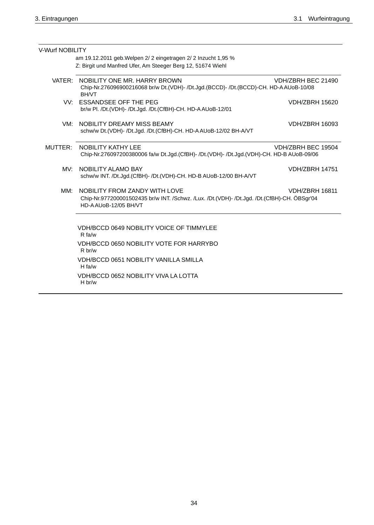| V-Wurf NOBILITY                                                |                                                                                                                                                      |                       |  |  |
|----------------------------------------------------------------|------------------------------------------------------------------------------------------------------------------------------------------------------|-----------------------|--|--|
| am 19.12.2011 geb. Welpen 2/ 2 eingetragen 2/ 2 Inzucht 1,95 % |                                                                                                                                                      |                       |  |  |
|                                                                | Z: Birgit und Manfred Ufer, Am Steeger Berg 12, 51674 Wiehl                                                                                          |                       |  |  |
| VATER:                                                         | NOBILITY ONE MR. HARRY BROWN<br>Chip-Nr.276096900216068 br/w Dt.(VDH)- /Dt.Jgd.(BCCD)- /Dt.(BCCD)-CH. HD-AAUoB-10/08<br><b>BH/VT</b>                 | VDH/ZBRH BEC 21490    |  |  |
|                                                                | VV: ESSANDSEE OFF THE PEG<br>br/w Pl. /Dt.(VDH)- /Dt.Jgd. /Dt.(CfBH)-CH. HD-AAUoB-12/01                                                              | <b>VDH/ZBRH 15620</b> |  |  |
| VM:                                                            | NOBILITY DREAMY MISS BEAMY<br>schw/w Dt.(VDH)- /Dt.Jgd. /Dt.(CfBH)-CH. HD-AAUoB-12/02 BH-A/VT                                                        | <b>VDH/ZBRH 16093</b> |  |  |
| MUTTER:                                                        | <b>NOBILITY KATHY LEE</b><br>Chip-Nr.276097200380006 fa/w Dt.Jgd.(CfBH)- /Dt.(VDH)- /Dt.Jgd.(VDH)-CH. HD-B AUoB-09/06                                | VDH/ZBRH BEC 19504    |  |  |
| MV:                                                            | NOBILITY ALAMO BAY<br>schw/w INT. /Dt.Jgd.(CfBH)- /Dt.(VDH)-CH. HD-B AUoB-12/00 BH-A/VT                                                              | <b>VDH/ZBRH 14751</b> |  |  |
| MM:                                                            | NOBILITY FROM ZANDY WITH LOVE<br>Chip-Nr.977200001502435 br/w INT. /Schwz. /Lux. /Dt.(VDH)- /Dt.Jgd. /Dt.(CfBH)-CH. ÖBSgr'04<br>HD-AAU0B-12/05 BH/VT | <b>VDH/ZBRH 16811</b> |  |  |
|                                                                | VDH/BCCD 0649 NOBILITY VOICE OF TIMMYLEE<br>R fa/w                                                                                                   |                       |  |  |
|                                                                | VDH/BCCD 0650 NOBILITY VOTE FOR HARRYBO<br>R br/w                                                                                                    |                       |  |  |
|                                                                | <b>VDH/BCCD 0651 NOBILITY VANILLA SMILLA</b><br>$H \text{fa/w}$                                                                                      |                       |  |  |
|                                                                | VDH/BCCD 0652 NOBILITY VIVA LA LOTTA<br>H br/w                                                                                                       |                       |  |  |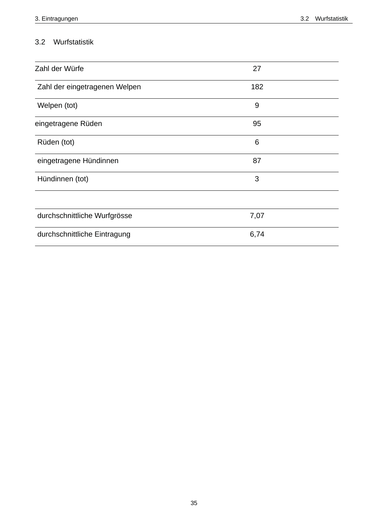## 3.2 Wurfstatistik

| Zahl der Würfe                | 27   |
|-------------------------------|------|
| Zahl der eingetragenen Welpen | 182  |
| Welpen (tot)                  | 9    |
| eingetragene Rüden            | 95   |
| Rüden (tot)                   | 6    |
| eingetragene Hündinnen        | 87   |
| Hündinnen (tot)               | 3    |
|                               |      |
| durchschnittliche Wurfgrösse  | 7,07 |
| durchschnittliche Eintragung  | 6,74 |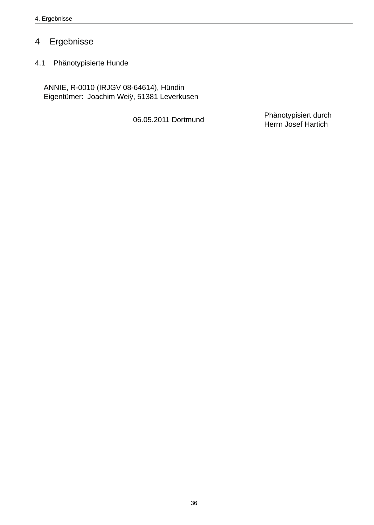### Ergebnisse  $\overline{4}$

4.1 Phänotypisierte Hunde

ANNIE, R-0010 (IRJGV 08-64614), Hündin Eigentümer: Joachim Weiÿ, 51381 Leverkusen

06.05.2011 Dortmund

Phänotypisiert durch Herrn Josef Hartich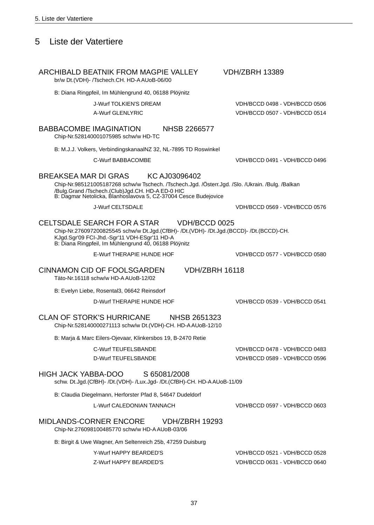#### 5 Liste der Vatertiere

## ARCHIBALD BEATNIK FROM MAGPIE VALLEY

br/w Dt.(VDH)- /Tschech.CH. HD-AAUoB-06/00

B: Diana Ringpfeil, Im Mühlengrund 40, 06188 Plövnitz

**J-Wurf TOLKIEN'S DREAM** 

A-Wurf GLENLYRIC

#### **BABBACOMBE IMAGINATION NHSB 2266577**

Chip-Nr.528140001075985 schw/w HD-TC

B: M.J.J. Volkers, VerbindingskanaalNZ 32, NL-7895 TD Roswinkel

C-Wurf BABBACOMBE

#### **BREAKSEA MAR DI GRAS** KC AJ03096402

Chip-Nr.985121005187268 schw/w Tschech. /Tschech.Jgd. /Österr.Jgd. /Slo. /Ukrain. /Bulg. /Balkan /Bulg.Grand /Tschech.(Club)Jgd.CH. HD-A ED-0 HIC<br>B: Dagmar Netolicka, Blanhoslavova 5, CZ-37004 Cesce Budejovice

**J-Wurf CELTSDALE** 

#### CELTSDALE SEARCH FOR A STAR VDH/BCCD 0025

Chip-Nr.276097200825545 schw/w Dt.Jgd.(CfBH)- /Dt.(VDH)- /Dt.Jgd.(BCCD)- /Dt.(BCCD)-CH. KJgd.Sgr'09 FCI-Jhd.-Sgr'11 VDH-ESgr'11 HD-A B: Diana Ringpfeil, Im Mühlengrund 40, 06188 Plöynitz

E-Wurf THERAPIE HUNDE HOF

## **CINNAMON CID OF FOOLSGARDEN**

Täto-Nr.16118 schw/w HD-A AUoB-12/02

B: Evelyn Liebe, Rosental3, 06642 Reinsdorf

D-Wurf THERAPIE HUNDE HOF

#### **CLAN OF STORK'S HURRICANE NHSB 2651323**

Chip-Nr.528140000271113 schw/w Dt.(VDH)-CH. HD-AAUoB-12/10

B: Maria & Marc Eilers-Ojevaar, Klinkersbos 19, B-2470 Retie

### **C-Wurf TEUFELSBANDE** D-Wurf TEUFELSBANDE

#### **HIGH JACK YABBA-DOO** S 65081/2008

schw. Dt.Jgd.(CfBH)- /Dt.(VDH)- /Lux.Jgd- /Dt.(CfBH)-CH. HD-AAUoB-11/09

B: Claudia Diegelmann, Herforster Pfad 8, 54647 Dudeldorf

L-Wurf CALEDONIAN TANNACH

VDH/BCCD 0597 - VDH/BCCD 0603

VDH/BCCD 0478 - VDH/BCCD 0483

VDH/BCCD 0589 - VDH/BCCD 0596

#### MIDLANDS-CORNER ENCORE **VDH/ZBRH 19293**

Chip-Nr.276098100485770 schw/w HD-A AUoB-03/06

B: Birgit & Uwe Wagner, Am Seltenreich 25b, 47259 Duisburg

Y-Wurf HAPPY BEARDED'S Z-Wurf HAPPY BEARDED'S VDH/BCCD 0521 - VDH/BCCD 0528 VDH/BCCD 0631 - VDH/BCCD 0640

37

**VDH/ZBRH 13389** 

VDH/BCCD 0491 - VDH/BCCD 0496

VDH/BCCD 0498 - VDH/BCCD 0506

VDH/BCCD 0507 - VDH/BCCD 0514

VDH/BCCD 0569 - VDH/BCCD 0576

VDH/BCCD 0577 - VDH/BCCD 0580

**VDH/7BRH 16118** 

VDH/BCCD 0539 - VDH/BCCD 0541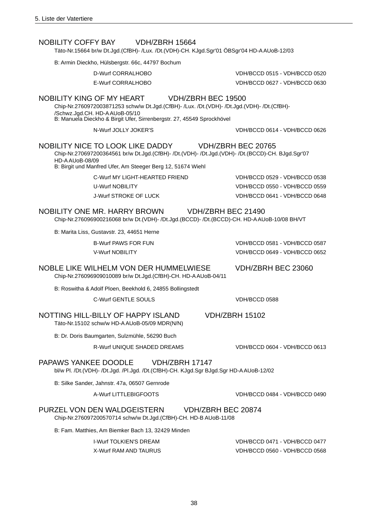#### NOBIL ITY COFFY BAY **VDH/7BRH 15664**

Täto-Nr.15664 br/w Dt.Jgd.(CfBH)- /Lux. /Dt.(VDH)-CH. KJgd.Sgr'01 ÖBSgr'04 HD-AAUoB-12/03

B: Armin Dieckho, Hülsbergstr. 66c, 44797 Bochum

D-Wurf CORRALHOBO

F-Wurf CORRAI HOBO

### NOBILITY KING OF MY HEART

Chip-Nr.2760972003871253 schw/w Dt.Jgd.(CfBH)- /Lux. /Dt.(VDH)- /Dt.Jgd.(VDH)- /Dt.(CfBH)-/Schwz.Jgd.CH. HD-AAUoB-05/10

B: Manuela Dieckho & Birgit Ufer, Sirrenbergstr, 27, 45549 Sprockhövel

N-Wurf JOLLY JOKER'S

#### **NOBILITY NICE TO LOOK LIKE DADDY** VDH/ZBRH BEC 20765

Chip-Nr.270697200364561 br/w Dt.Jgd.(CfBH)- /Dt.(VDH)- /Dt.Jgd.(VDH)- /Dt.(BCCD)-CH. BJgd.Sgr'07 HD-A AU 0B-08/09

VDH/ZBRH BEC 19500

B: Birgit und Manfred Ufer, Am Steeger Berg 12, 51674 Wiehl

C-Wurf MY LIGHT-HEARTED FRIEND **U-Wurf NOBILITY** J-Wurf STROKE OF LUCK

VDH/BCCD 0529 - VDH/BCCD 0538 VDH/BCCD 0550 - VDH/BCCD 0559 VDH/BCCD 0641 - VDH/BCCD 0648

VDH/BCCD 0581 - VDH/BCCD 0587

VDH/BCCD 0649 - VDH/BCCD 0652

VDH/ZBRH BEC 23060

VDH/BCCD 0515 - VDH/BCCD 0520

VDH/BCCD 0627 - VDH/BCCD 0630

VDH/BCCD 0614 - VDH/BCCD 0626

#### NOBILITY ONE MR. HARRY BROWN **VDH/7BRH BFC 21490**

Chip-Nr.276096900216068 br/w Dt.(VDH)- /Dt.Jgd.(BCCD)- /Dt.(BCCD)-CH. HD-AAUoB-10/08 BH/VT

B: Marita Liss, Gustavstr. 23, 44651 Herne

**B-Wurf PAWS FOR FUN** 

V-Wurf NORIL ITY

### NOBLE LIKE WILHELM VON DER HUMMELWIESE Chip-Nr.276096909010089 br/w Dt.Jgd.(CfBH)-CH. HD-AAUoB-04/11

B: Roswitha & Adolf Ploen, Beekhold 6, 24855 Bollingstedt

C-Wurf GENTLE SOULS

VDH/BCCD 0588

### NOTTING HILL-BILLY OF HAPPY ISLAND Täto-Nr.15102 schw/w HD-AAUoB-05/09 MDR(N/N)

B: Dr. Doris Baumgarten, Sulzmühle, 56290 Buch

R-Wurf UNIOUE SHADED DREAMS

#### PAPAWS YANKEE DOODLE VDH/ZBRH 17147

bl/w Pl. /Dt.(VDH)- /Dt.Jgd. /Pl.Jgd. /Dt.(CfBH)-CH. KJgd.Sgr BJgd.Sgr HD-AAUoB-12/02

B: Silke Sander, Jahnstr. 47a, 06507 Gernrode

A-Wurf LITTLEBIGFOOTS

#### PURZEL VON DEN WALDGEISTERN VDH/ZBRH BEC 20874

Chip-Nr.276097200570714 schw/w Dt.Jgd.(CfBH)-CH. HD-B AUoB-11/08

B: Fam. Matthies, Am Biemker Bach 13, 32429 Minden

**I-Wurf TOLKIEN'S DREAM X-Wurf RAM AND TAURUS**  VDH/BCCD 0471 - VDH/BCCD 0477 VDH/BCCD 0560 - VDH/BCCD 0568

## **VDH/7BRH 15102**

VDH/BCCD 0604 - VDH/BCCD 0613

5. Liste der Vatertiere

VDH/BCCD 0484 - VDH/BCCD 0490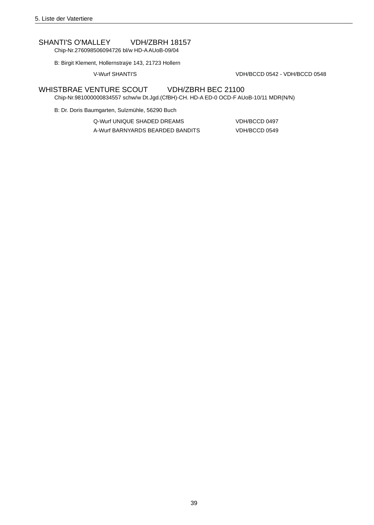### **SHANTI'S O'MALLEY VDH/ZBRH 18157**

Chip-Nr.276098506094726 bl/w HD-A AUoB-09/04

B: Birgit Klement, Hollernstraÿe 143, 21723 Hollern

V-Wurf SHANTI'S

VDH/BCCD 0542 - VDH/BCCD 0548

#### WHISTBRAE VENTURE SCOUT VDH/ZBRH BEC 21100

Chip-Nr.981000000834557 schw/w Dt.Jgd.(CfBH)-CH. HD-A ED-0 OCD-F AUoB-10/11 MDR(N/N)

B: Dr. Doris Baumgarten, Sulzmühle, 56290 Buch

| O-Wurf UNIOUE SHADED DREAMS      | VDH/BCCD 0497 |
|----------------------------------|---------------|
| A-Wurf BARNYARDS BEARDED BANDITS | VDH/BCCD 0549 |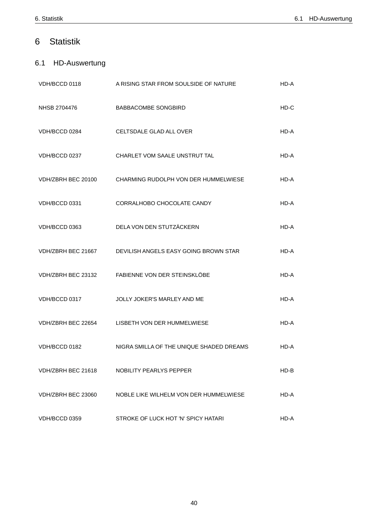#### $\,$  6  $\,$ **Statistik**

## 6.1 HD-Auswertung

| VDH/BCCD 0118      | A RISING STAR FROM SOULSIDE OF NATURE                    | HD-A   |
|--------------------|----------------------------------------------------------|--------|
| NHSB 2704476       | <b>BABBACOMBE SONGBIRD</b>                               | HD-C   |
| VDH/BCCD 0284      | CELTSDALE GLAD ALL OVER                                  | HD-A   |
| VDH/BCCD 0237      | CHARLET VOM SAALE UNSTRUT TAL                            | HD-A   |
| VDH/ZBRH BEC 20100 | CHARMING RUDOLPH VON DER HUMMELWIESE                     | HD-A   |
| VDH/BCCD 0331      | CORRALHOBO CHOCOLATE CANDY                               | HD-A   |
| VDH/BCCD 0363      | DELA VON DEN STUTZÄCKERN                                 | HD-A   |
|                    | VDH/ZBRH BEC 21667 DEVILISH ANGELS EASY GOING BROWN STAR | HD-A   |
|                    | VDH/ZBRH BEC 23132 FABIENNE VON DER STEINSKLÖBE          | HD-A   |
| VDH/BCCD 0317      | JOLLY JOKER'S MARLEY AND ME                              | HD-A   |
|                    | VDH/ZBRH BEC 22654 LISBETH VON DER HUMMELWIESE           | HD-A   |
| VDH/BCCD 0182      | NIGRA SMILLA OF THE UNIQUE SHADED DREAMS                 | HD-A   |
| VDH/ZBRH BEC 21618 | NOBILITY PEARLYS PEPPER                                  | $HD-B$ |
| VDH/ZBRH BEC 23060 | NOBLE LIKE WILHELM VON DER HUMMELWIESE                   | HD-A   |
| VDH/BCCD 0359      | STROKE OF LUCK HOT 'N' SPICY HATARI                      | HD-A   |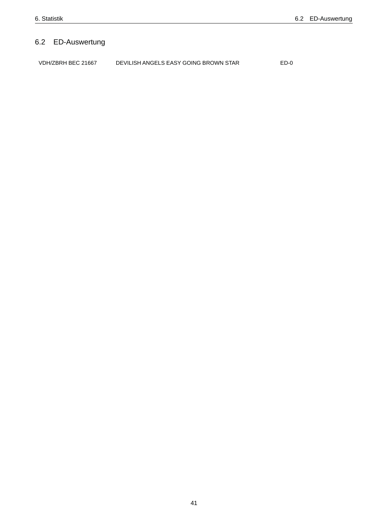## 6.2 ED-Auswertung

VDH/ZBRH BEC 21667 DEVILISH ANGELS EASY GOING BROWN STAR  $ED-0$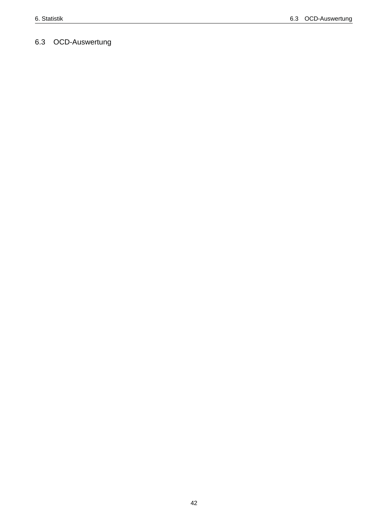# 6.3 OCD-Auswertung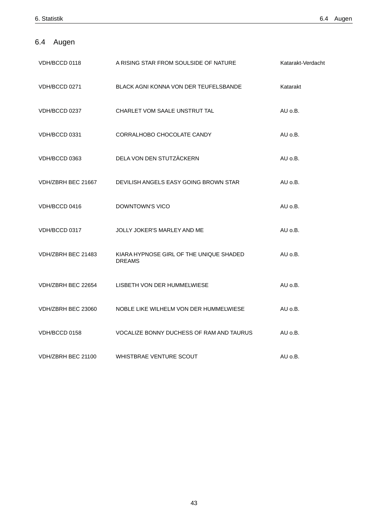## 6.4 Augen

| VDH/BCCD 0118      | A RISING STAR FROM SOULSIDE OF NATURE                    | Katarakt-Verdacht |
|--------------------|----------------------------------------------------------|-------------------|
| VDH/BCCD 0271      | <b>BLACK AGNI KONNA VON DER TEUFELSBANDE</b>             | Katarakt          |
| VDH/BCCD 0237      | CHARLET VOM SAALE UNSTRUT TAL                            | $AU$ $o.B.$       |
| VDH/BCCD 0331      | CORRALHOBO CHOCOLATE CANDY                               | AU o.B.           |
| VDH/BCCD 0363      | DELA VON DEN STUTZÄCKERN                                 | AU o.B.           |
| VDH/ZBRH BEC 21667 | DEVILISH ANGELS EASY GOING BROWN STAR                    | AU o.B.           |
| VDH/BCCD 0416      | DOWNTOWN'S VICO                                          | AU o.B.           |
| VDH/BCCD 0317      | JOLLY JOKER'S MARLEY AND ME                              | $AU$ $O.B.$       |
| VDH/ZBRH BEC 21483 | KIARA HYPNOSE GIRL OF THE UNIQUE SHADED<br><b>DREAMS</b> | $AU$ $O.B.$       |
| VDH/ZBRH BEC 22654 | LISBETH VON DER HUMMELWIESE                              | AU o.B.           |
| VDH/ZBRH BEC 23060 | NOBLE LIKE WILHELM VON DER HUMMELWIESE                   | $AU$ $O.B.$       |
| VDH/BCCD 0158      | VOCALIZE BONNY DUCHESS OF RAM AND TAURUS                 | $AU$ $O.B.$       |
| VDH/ZBRH BEC 21100 | WHISTBRAE VENTURE SCOUT                                  | AU o.B.           |